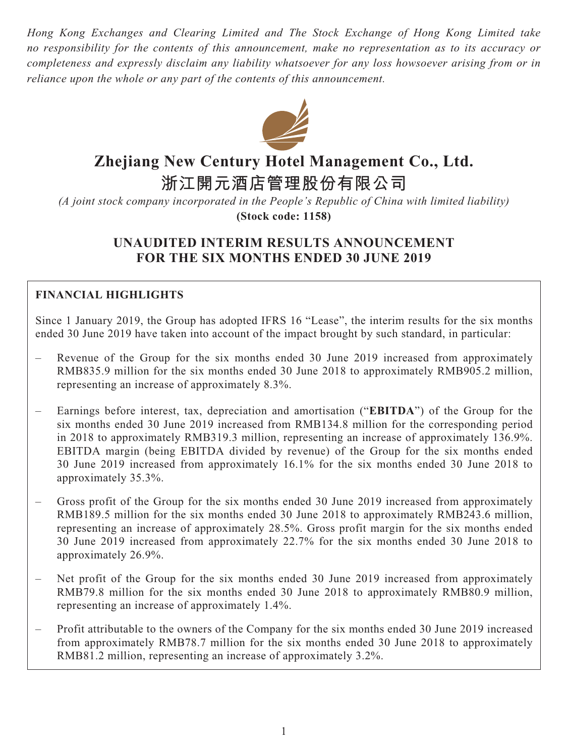*Hong Kong Exchanges and Clearing Limited and The Stock Exchange of Hong Kong Limited take no responsibility for the contents of this announcement, make no representation as to its accuracy or completeness and expressly disclaim any liability whatsoever for any loss howsoever arising from or in reliance upon the whole or any part of the contents of this announcement.*



# **Zhejiang New Century Hotel Management Co., Ltd.**

**浙江開元酒店管理股份有限公司**

*(A joint stock company incorporated in the People's Republic of China with limited liability)* **(Stock code: 1158)**

# **UNAUDITED INTERIM RESULTS ANNOUNCEMENT FOR THE SIX MONTHS ENDED 30 JUNE 2019**

# **FINANCIAL HIGHLIGHTS**

Since 1 January 2019, the Group has adopted IFRS 16 "Lease", the interim results for the six months ended 30 June 2019 have taken into account of the impact brought by such standard, in particular:

- Revenue of the Group for the six months ended 30 June 2019 increased from approximately RMB835.9 million for the six months ended 30 June 2018 to approximately RMB905.2 million, representing an increase of approximately 8.3%.
- Earnings before interest, tax, depreciation and amortisation ("**EBITDA**") of the Group for the six months ended 30 June 2019 increased from RMB134.8 million for the corresponding period in 2018 to approximately RMB319.3 million, representing an increase of approximately 136.9%. EBITDA margin (being EBITDA divided by revenue) of the Group for the six months ended 30 June 2019 increased from approximately 16.1% for the six months ended 30 June 2018 to approximately 35.3%.
- Gross profit of the Group for the six months ended 30 June 2019 increased from approximately RMB189.5 million for the six months ended 30 June 2018 to approximately RMB243.6 million, representing an increase of approximately 28.5%. Gross profit margin for the six months ended 30 June 2019 increased from approximately 22.7% for the six months ended 30 June 2018 to approximately 26.9%.
- Net profit of the Group for the six months ended 30 June 2019 increased from approximately RMB79.8 million for the six months ended 30 June 2018 to approximately RMB80.9 million, representing an increase of approximately 1.4%.
- Profit attributable to the owners of the Company for the six months ended 30 June 2019 increased from approximately RMB78.7 million for the six months ended 30 June 2018 to approximately RMB81.2 million, representing an increase of approximately 3.2%.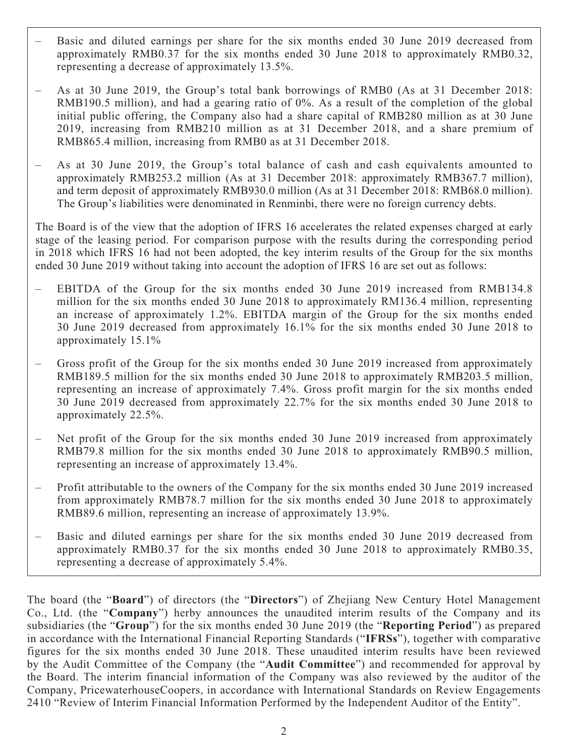- Basic and diluted earnings per share for the six months ended 30 June 2019 decreased from approximately RMB0.37 for the six months ended 30 June 2018 to approximately RMB0.32, representing a decrease of approximately 13.5%.
- As at 30 June 2019, the Group's total bank borrowings of RMB0 (As at 31 December 2018: RMB190.5 million), and had a gearing ratio of 0%. As a result of the completion of the global initial public offering, the Company also had a share capital of RMB280 million as at 30 June 2019, increasing from RMB210 million as at 31 December 2018, and a share premium of RMB865.4 million, increasing from RMB0 as at 31 December 2018.
- As at 30 June 2019, the Group's total balance of cash and cash equivalents amounted to approximately RMB253.2 million (As at 31 December 2018: approximately RMB367.7 million), and term deposit of approximately RMB930.0 million (As at 31 December 2018: RMB68.0 million). The Group's liabilities were denominated in Renminbi, there were no foreign currency debts.

The Board is of the view that the adoption of IFRS 16 accelerates the related expenses charged at early stage of the leasing period. For comparison purpose with the results during the corresponding period in 2018 which IFRS 16 had not been adopted, the key interim results of the Group for the six months ended 30 June 2019 without taking into account the adoption of IFRS 16 are set out as follows:

- EBITDA of the Group for the six months ended 30 June 2019 increased from RMB134.8 million for the six months ended 30 June 2018 to approximately RM136.4 million, representing an increase of approximately 1.2%. EBITDA margin of the Group for the six months ended 30 June 2019 decreased from approximately 16.1% for the six months ended 30 June 2018 to approximately 15.1%
- Gross profit of the Group for the six months ended 30 June 2019 increased from approximately RMB189.5 million for the six months ended 30 June 2018 to approximately RMB203.5 million, representing an increase of approximately 7.4%. Gross profit margin for the six months ended 30 June 2019 decreased from approximately 22.7% for the six months ended 30 June 2018 to approximately 22.5%.
- Net profit of the Group for the six months ended 30 June 2019 increased from approximately RMB79.8 million for the six months ended 30 June 2018 to approximately RMB90.5 million, representing an increase of approximately 13.4%.
- Profit attributable to the owners of the Company for the six months ended 30 June 2019 increased from approximately RMB78.7 million for the six months ended 30 June 2018 to approximately RMB89.6 million, representing an increase of approximately 13.9%.
- Basic and diluted earnings per share for the six months ended 30 June 2019 decreased from approximately RMB0.37 for the six months ended 30 June 2018 to approximately RMB0.35, representing a decrease of approximately 5.4%.

The board (the "**Board**") of directors (the "**Directors**") of Zhejiang New Century Hotel Management Co., Ltd. (the "**Company**") herby announces the unaudited interim results of the Company and its subsidiaries (the "**Group**") for the six months ended 30 June 2019 (the "**Reporting Period**") as prepared in accordance with the International Financial Reporting Standards ("**IFRSs**"), together with comparative figures for the six months ended 30 June 2018. These unaudited interim results have been reviewed by the Audit Committee of the Company (the "**Audit Committee**") and recommended for approval by the Board. The interim financial information of the Company was also reviewed by the auditor of the Company, PricewaterhouseCoopers, in accordance with International Standards on Review Engagements 2410 "Review of Interim Financial Information Performed by the Independent Auditor of the Entity".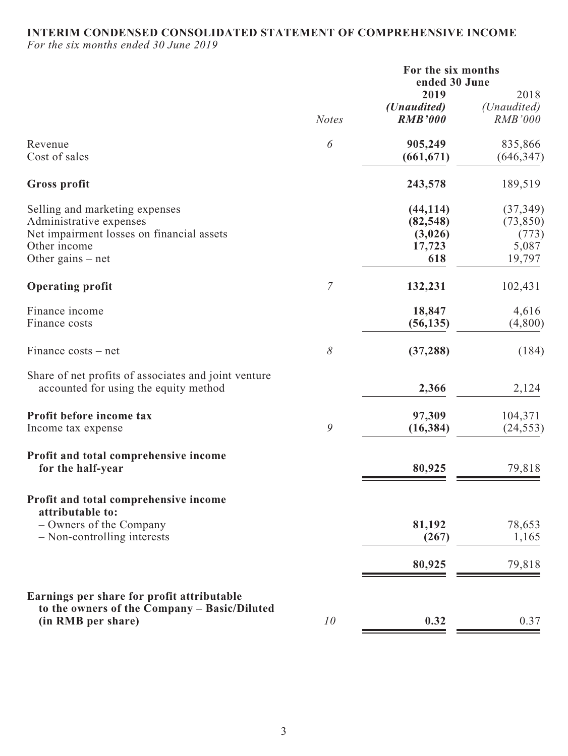### **INTERIM CONDENSED CONSOLIDATED STATEMENT OF COMPREHENSIVE INCOME**

*For the six months ended 30 June 2019*

|                                                                                                                                               |                       | For the six months<br>ended 30 June                |                                                    |
|-----------------------------------------------------------------------------------------------------------------------------------------------|-----------------------|----------------------------------------------------|----------------------------------------------------|
|                                                                                                                                               | <b>Notes</b>          | 2019<br>( <i>Unaudited</i> )<br><b>RMB'000</b>     | 2018<br>(Unaudited)<br><b>RMB'000</b>              |
| Revenue<br>Cost of sales                                                                                                                      | $\boldsymbol{\delta}$ | 905,249<br>(661, 671)                              | 835,866<br>(646, 347)                              |
| <b>Gross profit</b>                                                                                                                           |                       | 243,578                                            | 189,519                                            |
| Selling and marketing expenses<br>Administrative expenses<br>Net impairment losses on financial assets<br>Other income<br>Other gains $-$ net |                       | (44, 114)<br>(82, 548)<br>(3,026)<br>17,723<br>618 | (37, 349)<br>(73, 850)<br>(773)<br>5,087<br>19,797 |
| <b>Operating profit</b>                                                                                                                       | 7                     | 132,231                                            | 102,431                                            |
| Finance income<br>Finance costs                                                                                                               |                       | 18,847<br>(56, 135)                                | 4,616<br>(4,800)                                   |
| Finance costs – net                                                                                                                           | 8                     | (37, 288)                                          | (184)                                              |
| Share of net profits of associates and joint venture<br>accounted for using the equity method                                                 |                       | 2,366                                              | 2,124                                              |
| Profit before income tax<br>Income tax expense                                                                                                | 9                     | 97,309<br>(16, 384)                                | 104,371<br>(24, 553)                               |
| Profit and total comprehensive income<br>for the half-year                                                                                    |                       | 80,925                                             | 79,818                                             |
| Profit and total comprehensive income<br>attributable to:                                                                                     |                       |                                                    |                                                    |
| - Owners of the Company<br>- Non-controlling interests                                                                                        |                       | 81,192<br>(267)                                    | 78,653<br>1,165                                    |
|                                                                                                                                               |                       | 80,925                                             | 79,818                                             |
| Earnings per share for profit attributable<br>to the owners of the Company - Basic/Diluted<br>(in RMB per share)                              | 10                    | 0.32                                               | 0.37                                               |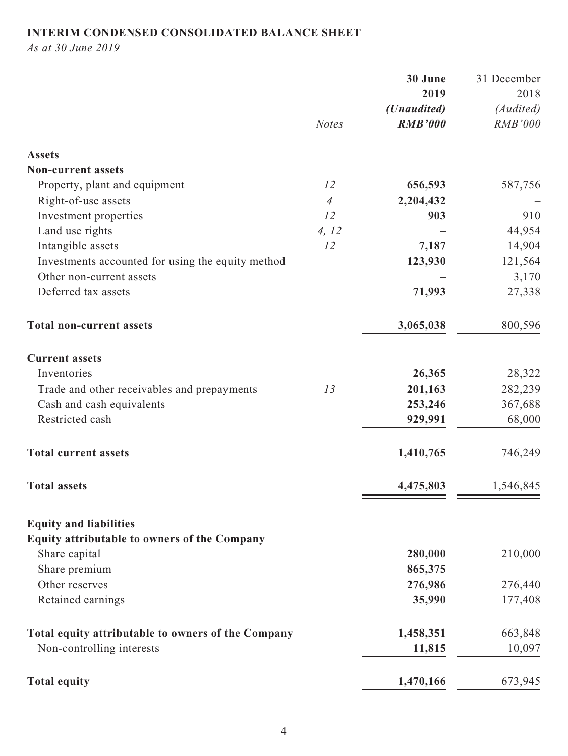# **INTERIM CONDENSED CONSOLIDATED BALANCE SHEET**

*As at 30 June 2019*

|                                                    |                | 30 June        | 31 December    |
|----------------------------------------------------|----------------|----------------|----------------|
|                                                    |                | 2019           | 2018           |
|                                                    |                | (Unaudited)    | (Audited)      |
|                                                    | <b>Notes</b>   | <b>RMB'000</b> | <b>RMB'000</b> |
| <b>Assets</b>                                      |                |                |                |
| <b>Non-current assets</b>                          |                |                |                |
| Property, plant and equipment                      | 12             | 656,593        | 587,756        |
| Right-of-use assets                                | $\overline{4}$ | 2,204,432      |                |
| Investment properties                              | 12             | 903            | 910            |
| Land use rights                                    | 4, 12          |                | 44,954         |
| Intangible assets                                  | 12             | 7,187          | 14,904         |
| Investments accounted for using the equity method  |                | 123,930        | 121,564        |
| Other non-current assets                           |                |                | 3,170          |
| Deferred tax assets                                |                | 71,993         | 27,338         |
| <b>Total non-current assets</b>                    |                | 3,065,038      | 800,596        |
| <b>Current assets</b>                              |                |                |                |
| Inventories                                        |                | 26,365         | 28,322         |
| Trade and other receivables and prepayments        | 13             | 201,163        | 282,239        |
| Cash and cash equivalents                          |                | 253,246        | 367,688        |
| Restricted cash                                    |                | 929,991        | 68,000         |
| <b>Total current assets</b>                        |                | 1,410,765      | 746,249        |
| <b>Total assets</b>                                |                | 4,475,803      | 1,546,845      |
| <b>Equity and liabilities</b>                      |                |                |                |
| Equity attributable to owners of the Company       |                |                |                |
| Share capital                                      |                | 280,000        | 210,000        |
| Share premium                                      |                | 865,375        |                |
| Other reserves                                     |                | 276,986        | 276,440        |
| Retained earnings                                  |                | 35,990         | 177,408        |
| Total equity attributable to owners of the Company |                | 1,458,351      | 663,848        |
| Non-controlling interests                          |                | 11,815         | 10,097         |
| <b>Total equity</b>                                |                | 1,470,166      | 673,945        |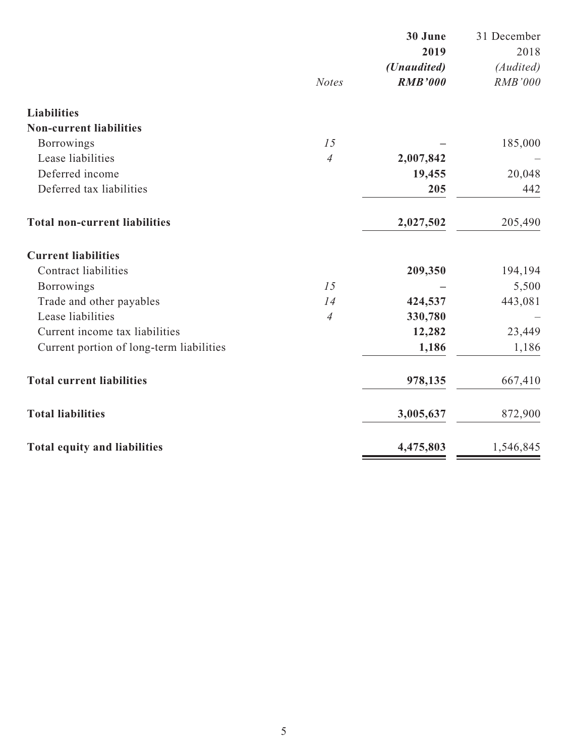|                                          |                | 30 June        | 31 December    |
|------------------------------------------|----------------|----------------|----------------|
|                                          |                | 2019           | 2018           |
|                                          |                | (Unaudited)    | (Audited)      |
|                                          | <b>Notes</b>   | <b>RMB'000</b> | <b>RMB'000</b> |
| <b>Liabilities</b>                       |                |                |                |
| <b>Non-current liabilities</b>           |                |                |                |
| <b>Borrowings</b>                        | 15             |                | 185,000        |
| Lease liabilities                        | $\overline{4}$ | 2,007,842      |                |
| Deferred income                          |                | 19,455         | 20,048         |
| Deferred tax liabilities                 |                | 205            | 442            |
| <b>Total non-current liabilities</b>     |                | 2,027,502      | 205,490        |
| <b>Current liabilities</b>               |                |                |                |
| <b>Contract liabilities</b>              |                | 209,350        | 194,194        |
| <b>Borrowings</b>                        | 15             |                | 5,500          |
| Trade and other payables                 | 14             | 424,537        | 443,081        |
| Lease liabilities                        | $\overline{4}$ | 330,780        |                |
| Current income tax liabilities           |                | 12,282         | 23,449         |
| Current portion of long-term liabilities |                | 1,186          | 1,186          |
| <b>Total current liabilities</b>         |                | 978,135        | 667,410        |
| <b>Total liabilities</b>                 |                | 3,005,637      | 872,900        |
| <b>Total equity and liabilities</b>      |                | 4,475,803      | 1,546,845      |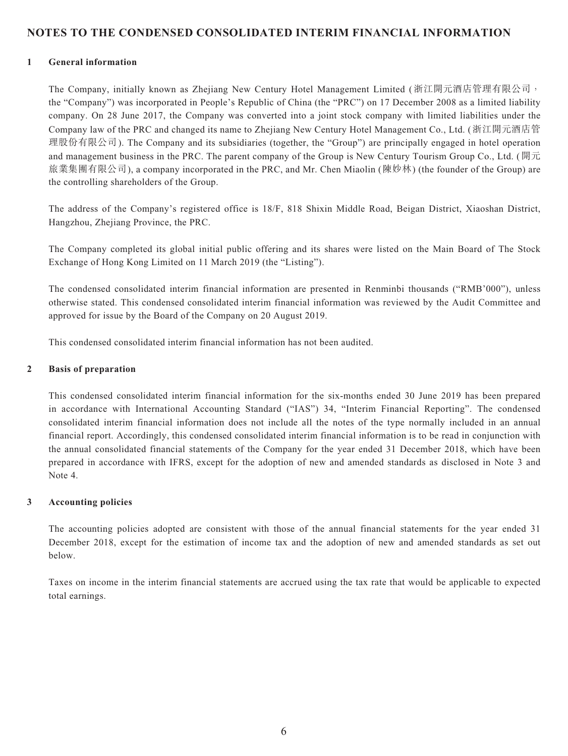### **NOTES TO THE CONDENSED CONSOLIDATED INTERIM FINANCIAL INFORMATION**

#### **1 General information**

The Company, initially known as Zhejiang New Century Hotel Management Limited (浙江開元酒店管理有限公司, the "Company") was incorporated in People's Republic of China (the "PRC") on 17 December 2008 as a limited liability company. On 28 June 2017, the Company was converted into a joint stock company with limited liabilities under the Company law of the PRC and changed its name to Zhejiang New Century Hotel Management Co., Ltd. (浙江開元酒店管 理股份有限公司). The Company and its subsidiaries (together, the "Group") are principally engaged in hotel operation and management business in the PRC. The parent company of the Group is New Century Tourism Group Co., Ltd. (開元 旅業集團有限公司), a company incorporated in the PRC, and Mr. Chen Miaolin (陳妙林) (the founder of the Group) are the controlling shareholders of the Group.

The address of the Company's registered office is 18/F, 818 Shixin Middle Road, Beigan District, Xiaoshan District, Hangzhou, Zhejiang Province, the PRC.

The Company completed its global initial public offering and its shares were listed on the Main Board of The Stock Exchange of Hong Kong Limited on 11 March 2019 (the "Listing").

The condensed consolidated interim financial information are presented in Renminbi thousands ("RMB'000"), unless otherwise stated. This condensed consolidated interim financial information was reviewed by the Audit Committee and approved for issue by the Board of the Company on 20 August 2019.

This condensed consolidated interim financial information has not been audited.

#### **2 Basis of preparation**

This condensed consolidated interim financial information for the six-months ended 30 June 2019 has been prepared in accordance with International Accounting Standard ("IAS") 34, "Interim Financial Reporting". The condensed consolidated interim financial information does not include all the notes of the type normally included in an annual financial report. Accordingly, this condensed consolidated interim financial information is to be read in conjunction with the annual consolidated financial statements of the Company for the year ended 31 December 2018, which have been prepared in accordance with IFRS, except for the adoption of new and amended standards as disclosed in Note 3 and Note 4.

#### **3 Accounting policies**

The accounting policies adopted are consistent with those of the annual financial statements for the year ended 31 December 2018, except for the estimation of income tax and the adoption of new and amended standards as set out below.

Taxes on income in the interim financial statements are accrued using the tax rate that would be applicable to expected total earnings.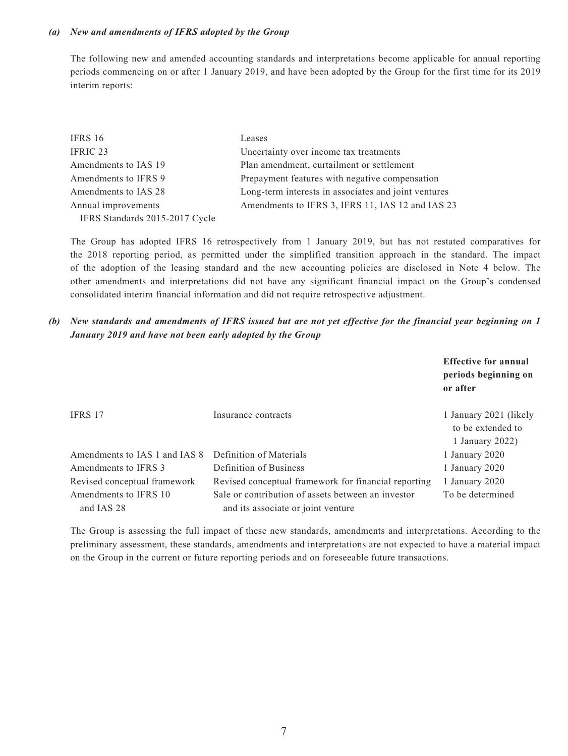#### *(a) New and amendments of IFRS adopted by the Group*

The following new and amended accounting standards and interpretations become applicable for annual reporting periods commencing on or after 1 January 2019, and have been adopted by the Group for the first time for its 2019 interim reports:

| IFRS 16                        | Leases                                               |
|--------------------------------|------------------------------------------------------|
| IFRIC 23                       | Uncertainty over income tax treatments               |
| Amendments to IAS 19           | Plan amendment, curtailment or settlement            |
| Amendments to IFRS 9           | Prepayment features with negative compensation       |
| Amendments to IAS 28           | Long-term interests in associates and joint ventures |
| Annual improvements            | Amendments to IFRS 3, IFRS 11, IAS 12 and IAS 23     |
| IFRS Standards 2015-2017 Cycle |                                                      |

The Group has adopted IFRS 16 retrospectively from 1 January 2019, but has not restated comparatives for the 2018 reporting period, as permitted under the simplified transition approach in the standard. The impact of the adoption of the leasing standard and the new accounting policies are disclosed in Note 4 below. The other amendments and interpretations did not have any significant financial impact on the Group's condensed consolidated interim financial information and did not require retrospective adjustment.

*(b) New standards and amendments of IFRS issued but are not yet effective for the financial year beginning on 1 January 2019 and have not been early adopted by the Group*

|                                     |                                                                                          | <b>Effective for annual</b><br>periods beginning on<br>or after |
|-------------------------------------|------------------------------------------------------------------------------------------|-----------------------------------------------------------------|
| IFRS 17                             | Insurance contracts                                                                      | 1 January 2021 (likely<br>to be extended to<br>1 January $2022$ |
| Amendments to IAS 1 and IAS 8       | Definition of Materials                                                                  | 1 January 2020                                                  |
| Amendments to IFRS 3                | Definition of Business                                                                   | 1 January 2020                                                  |
| Revised conceptual framework        | Revised conceptual framework for financial reporting                                     | 1 January 2020                                                  |
| Amendments to IFRS 10<br>and IAS 28 | Sale or contribution of assets between an investor<br>and its associate or joint venture | To be determined                                                |

The Group is assessing the full impact of these new standards, amendments and interpretations. According to the preliminary assessment, these standards, amendments and interpretations are not expected to have a material impact on the Group in the current or future reporting periods and on foreseeable future transactions.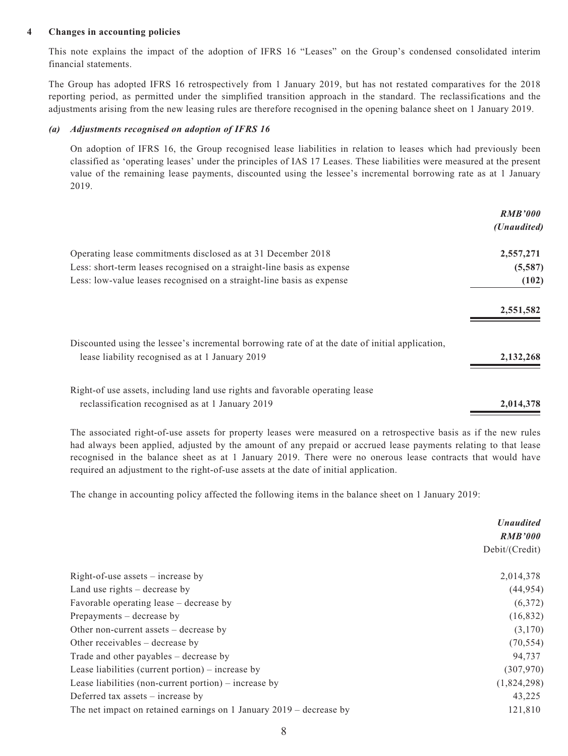#### **4 Changes in accounting policies**

This note explains the impact of the adoption of IFRS 16 "Leases" on the Group's condensed consolidated interim financial statements.

The Group has adopted IFRS 16 retrospectively from 1 January 2019, but has not restated comparatives for the 2018 reporting period, as permitted under the simplified transition approach in the standard. The reclassifications and the adjustments arising from the new leasing rules are therefore recognised in the opening balance sheet on 1 January 2019.

#### *(a) Adjustments recognised on adoption of IFRS 16*

On adoption of IFRS 16, the Group recognised lease liabilities in relation to leases which had previously been classified as 'operating leases' under the principles of IAS 17 Leases. These liabilities were measured at the present value of the remaining lease payments, discounted using the lessee's incremental borrowing rate as at 1 January 2019.

|                                                                                                                                                    | <b>RMB'000</b><br>(Unaudited) |
|----------------------------------------------------------------------------------------------------------------------------------------------------|-------------------------------|
| Operating lease commitments disclosed as at 31 December 2018                                                                                       | 2,557,271                     |
| Less: short-term leases recognised on a straight-line basis as expense                                                                             | (5,587)                       |
| Less: low-value leases recognised on a straight-line basis as expense                                                                              | (102)                         |
|                                                                                                                                                    | 2,551,582                     |
| Discounted using the lessee's incremental borrowing rate of at the date of initial application,<br>lease liability recognised as at 1 January 2019 | 2, 132, 268                   |
| Right-of use assets, including land use rights and favorable operating lease<br>reclassification recognised as at 1 January 2019                   | 2,014,378                     |

The associated right-of-use assets for property leases were measured on a retrospective basis as if the new rules had always been applied, adjusted by the amount of any prepaid or accrued lease payments relating to that lease recognised in the balance sheet as at 1 January 2019. There were no onerous lease contracts that would have required an adjustment to the right-of-use assets at the date of initial application.

The change in accounting policy affected the following items in the balance sheet on 1 January 2019:

|                                                                       | <b>Unaudited</b> |  |
|-----------------------------------------------------------------------|------------------|--|
|                                                                       | <b>RMB'000</b>   |  |
|                                                                       | Debit/(Credit)   |  |
| Right-of-use assets $-$ increase by                                   | 2,014,378        |  |
| Land use rights $-$ decrease by                                       | (44, 954)        |  |
| Favorable operating lease – decrease by                               | (6,372)          |  |
| Prepayments – decrease by                                             | (16, 832)        |  |
| Other non-current assets $-$ decrease by                              | (3,170)          |  |
| Other receivables – decrease by                                       | (70, 554)        |  |
| Trade and other payables – decrease by                                | 94,737           |  |
| Lease liabilities (current portion) – increase by                     | (307, 970)       |  |
| Lease liabilities (non-current portion) – increase by                 | (1,824,298)      |  |
| Deferred tax assets $-$ increase by                                   | 43,225           |  |
| The net impact on retained earnings on 1 January $2019$ – decrease by | 121,810          |  |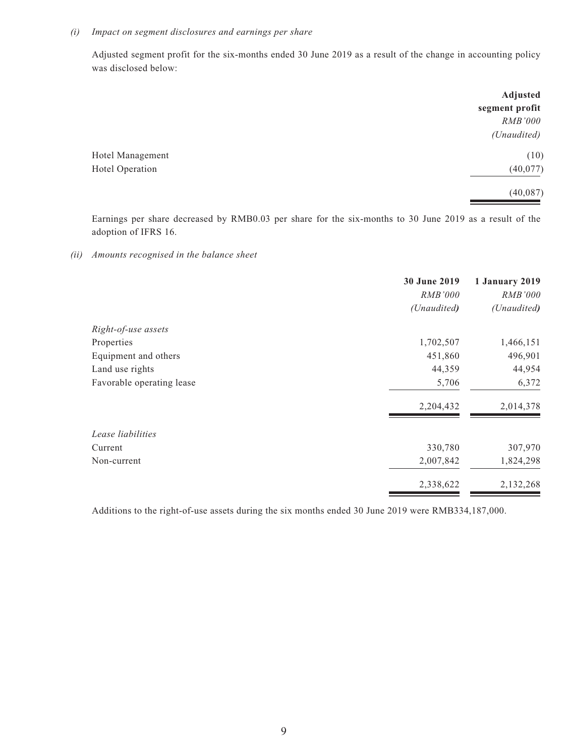#### *(i) Impact on segment disclosures and earnings per share*

Adjusted segment profit for the six-months ended 30 June 2019 as a result of the change in accounting policy was disclosed below:

|                  | Adjusted       |
|------------------|----------------|
|                  | segment profit |
|                  | RMB'000        |
|                  | (Unaudited)    |
| Hotel Management | (10)           |
| Hotel Operation  | (40,077)       |
|                  | (40,087)       |
|                  |                |

Earnings per share decreased by RMB0.03 per share for the six-months to 30 June 2019 as a result of the adoption of IFRS 16.

*(ii) Amounts recognised in the balance sheet*

|                           | 30 June 2019<br>RMB'000 | 1 January 2019<br>RMB'000 |
|---------------------------|-------------------------|---------------------------|
|                           | (Unaudited)             | (Unaudited)               |
| Right-of-use assets       |                         |                           |
| Properties                | 1,702,507               | 1,466,151                 |
| Equipment and others      | 451,860                 | 496,901                   |
| Land use rights           | 44,359                  | 44,954                    |
| Favorable operating lease | 5,706                   | 6,372                     |
|                           | 2,204,432               | 2,014,378                 |
| Lease liabilities         |                         |                           |
| Current                   | 330,780                 | 307,970                   |
| Non-current               | 2,007,842               | 1,824,298                 |
|                           | 2,338,622               | 2,132,268                 |
|                           |                         |                           |

Additions to the right-of-use assets during the six months ended 30 June 2019 were RMB334,187,000.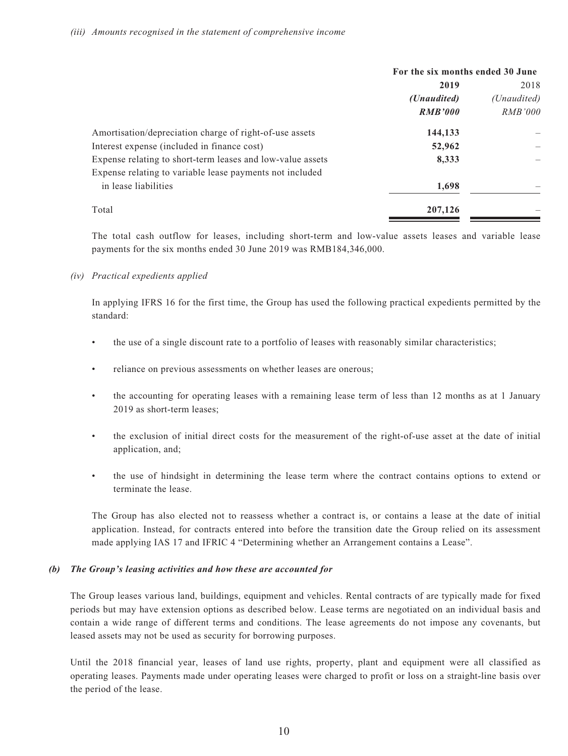|                                                            | For the six months ended 30 June |             |
|------------------------------------------------------------|----------------------------------|-------------|
|                                                            | 2019                             |             |
|                                                            | ( <i>Unaudited</i> )             | (Unaudited) |
|                                                            | <b>RMB'000</b>                   | RMB'000     |
| Amortisation/depreciation charge of right-of-use assets    | 144,133                          |             |
| Interest expense (included in finance cost)                | 52,962                           |             |
| Expense relating to short-term leases and low-value assets | 8,333                            |             |
| Expense relating to variable lease payments not included   |                                  |             |
| in lease liabilities                                       | 1,698                            |             |
| Total                                                      | 207,126                          |             |

The total cash outflow for leases, including short-term and low-value assets leases and variable lease payments for the six months ended 30 June 2019 was RMB184,346,000.

#### *(iv) Practical expedients applied*

In applying IFRS 16 for the first time, the Group has used the following practical expedients permitted by the standard:

- the use of a single discount rate to a portfolio of leases with reasonably similar characteristics;
- reliance on previous assessments on whether leases are onerous;
- the accounting for operating leases with a remaining lease term of less than 12 months as at 1 January 2019 as short-term leases;
- the exclusion of initial direct costs for the measurement of the right-of-use asset at the date of initial application, and;
- the use of hindsight in determining the lease term where the contract contains options to extend or terminate the lease.

The Group has also elected not to reassess whether a contract is, or contains a lease at the date of initial application. Instead, for contracts entered into before the transition date the Group relied on its assessment made applying IAS 17 and IFRIC 4 "Determining whether an Arrangement contains a Lease".

#### *(b) The Group's leasing activities and how these are accounted for*

The Group leases various land, buildings, equipment and vehicles. Rental contracts of are typically made for fixed periods but may have extension options as described below. Lease terms are negotiated on an individual basis and contain a wide range of different terms and conditions. The lease agreements do not impose any covenants, but leased assets may not be used as security for borrowing purposes.

Until the 2018 financial year, leases of land use rights, property, plant and equipment were all classified as operating leases. Payments made under operating leases were charged to profit or loss on a straight-line basis over the period of the lease.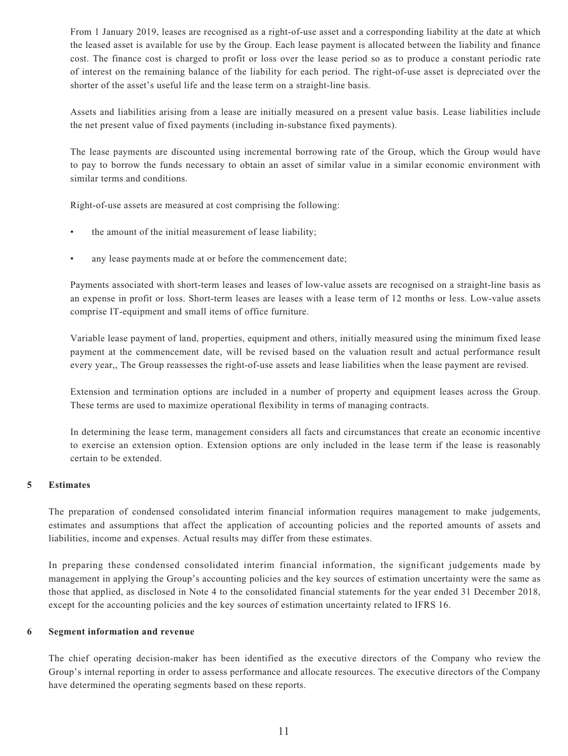From 1 January 2019, leases are recognised as a right-of-use asset and a corresponding liability at the date at which the leased asset is available for use by the Group. Each lease payment is allocated between the liability and finance cost. The finance cost is charged to profit or loss over the lease period so as to produce a constant periodic rate of interest on the remaining balance of the liability for each period. The right-of-use asset is depreciated over the shorter of the asset's useful life and the lease term on a straight-line basis.

Assets and liabilities arising from a lease are initially measured on a present value basis. Lease liabilities include the net present value of fixed payments (including in-substance fixed payments).

The lease payments are discounted using incremental borrowing rate of the Group, which the Group would have to pay to borrow the funds necessary to obtain an asset of similar value in a similar economic environment with similar terms and conditions.

Right-of-use assets are measured at cost comprising the following:

- the amount of the initial measurement of lease liability;
- any lease payments made at or before the commencement date;

Payments associated with short-term leases and leases of low-value assets are recognised on a straight-line basis as an expense in profit or loss. Short-term leases are leases with a lease term of 12 months or less. Low-value assets comprise IT-equipment and small items of office furniture.

Variable lease payment of land, properties, equipment and others, initially measured using the minimum fixed lease payment at the commencement date, will be revised based on the valuation result and actual performance result every year,, The Group reassesses the right-of-use assets and lease liabilities when the lease payment are revised.

Extension and termination options are included in a number of property and equipment leases across the Group. These terms are used to maximize operational flexibility in terms of managing contracts.

In determining the lease term, management considers all facts and circumstances that create an economic incentive to exercise an extension option. Extension options are only included in the lease term if the lease is reasonably certain to be extended.

#### **5 Estimates**

The preparation of condensed consolidated interim financial information requires management to make judgements, estimates and assumptions that affect the application of accounting policies and the reported amounts of assets and liabilities, income and expenses. Actual results may differ from these estimates.

In preparing these condensed consolidated interim financial information, the significant judgements made by management in applying the Group's accounting policies and the key sources of estimation uncertainty were the same as those that applied, as disclosed in Note 4 to the consolidated financial statements for the year ended 31 December 2018, except for the accounting policies and the key sources of estimation uncertainty related to IFRS 16.

#### **6 Segment information and revenue**

The chief operating decision-maker has been identified as the executive directors of the Company who review the Group's internal reporting in order to assess performance and allocate resources. The executive directors of the Company have determined the operating segments based on these reports.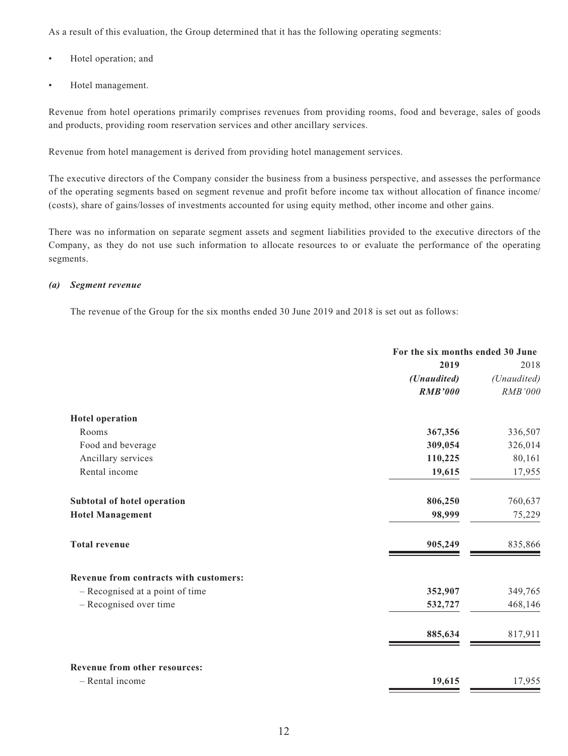As a result of this evaluation, the Group determined that it has the following operating segments:

- Hotel operation; and
- Hotel management.

Revenue from hotel operations primarily comprises revenues from providing rooms, food and beverage, sales of goods and products, providing room reservation services and other ancillary services.

Revenue from hotel management is derived from providing hotel management services.

The executive directors of the Company consider the business from a business perspective, and assesses the performance of the operating segments based on segment revenue and profit before income tax without allocation of finance income/ (costs), share of gains/losses of investments accounted for using equity method, other income and other gains.

There was no information on separate segment assets and segment liabilities provided to the executive directors of the Company, as they do not use such information to allocate resources to or evaluate the performance of the operating segments.

#### *(a) Segment revenue*

The revenue of the Group for the six months ended 30 June 2019 and 2018 is set out as follows:

|                                        | For the six months ended 30 June |             |
|----------------------------------------|----------------------------------|-------------|
|                                        | 2019                             | 2018        |
|                                        | (Unaudited)                      | (Unaudited) |
|                                        | <b>RMB'000</b>                   | RMB'000     |
| <b>Hotel operation</b>                 |                                  |             |
| Rooms                                  | 367,356                          | 336,507     |
| Food and beverage                      | 309,054                          | 326,014     |
| Ancillary services                     | 110,225                          | 80,161      |
| Rental income                          | 19,615                           | 17,955      |
| Subtotal of hotel operation            | 806,250                          | 760,637     |
| <b>Hotel Management</b>                | 98,999                           | 75,229      |
| <b>Total revenue</b>                   | 905,249                          | 835,866     |
| Revenue from contracts with customers: |                                  |             |
| - Recognised at a point of time        | 352,907                          | 349,765     |
| - Recognised over time                 | 532,727                          | 468,146     |
|                                        | 885,634                          | 817,911     |
| Revenue from other resources:          |                                  |             |
| - Rental income                        | 19,615                           | 17,955      |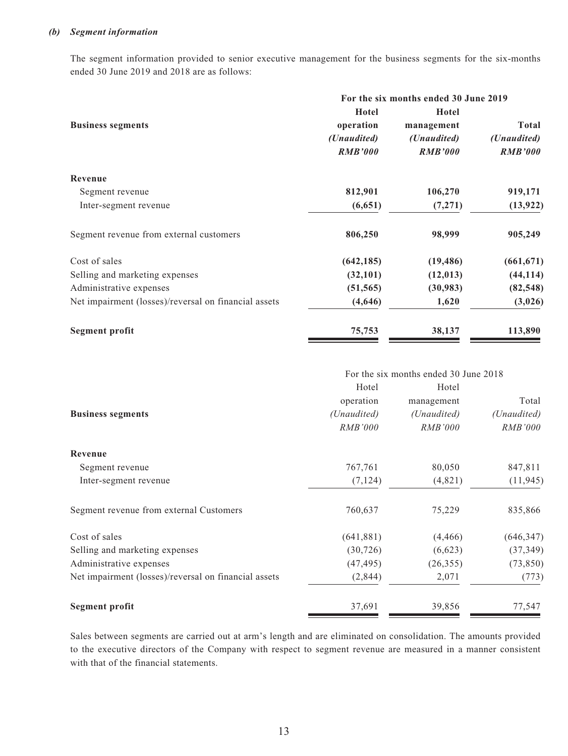#### *(b) Segment information*

The segment information provided to senior executive management for the business segments for the six-months ended 30 June 2019 and 2018 are as follows:

|                                                      | For the six months ended 30 June 2019 |                      |                |
|------------------------------------------------------|---------------------------------------|----------------------|----------------|
|                                                      | Hotel                                 | Hotel                |                |
| <b>Business segments</b>                             | operation                             | management           | <b>Total</b>   |
|                                                      | ( <i>Unaudited</i> )                  | ( <i>Unaudited</i> ) | (Unaudited)    |
|                                                      | <b>RMB'000</b>                        | <b>RMB'000</b>       | <b>RMB'000</b> |
| Revenue                                              |                                       |                      |                |
| Segment revenue                                      | 812,901                               | 106,270              | 919,171        |
| Inter-segment revenue                                | (6, 651)                              | (7,271)              | (13, 922)      |
| Segment revenue from external customers              | 806,250                               | 98,999               | 905,249        |
| Cost of sales                                        | (642, 185)                            | (19, 486)            | (661, 671)     |
| Selling and marketing expenses                       | (32,101)                              | (12, 013)            | (44, 114)      |
| Administrative expenses                              | (51, 565)                             | (30,983)             | (82, 548)      |
| Net impairment (losses)/reversal on financial assets | (4,646)                               | 1,620                | (3,026)        |
| <b>Segment profit</b>                                | 75,753                                | 38,137               | 113,890        |

|                                                      | For the six months ended 30 June 2018 |             |                |  |
|------------------------------------------------------|---------------------------------------|-------------|----------------|--|
|                                                      | Hotel                                 | Hotel       |                |  |
|                                                      | operation                             | management  | Total          |  |
| <b>Business segments</b>                             | (Unaudited)                           | (Unaudited) | (Unaudited)    |  |
|                                                      | <b>RMB'000</b>                        | RMB'000     | <b>RMB'000</b> |  |
| Revenue                                              |                                       |             |                |  |
| Segment revenue                                      | 767,761                               | 80,050      | 847,811        |  |
| Inter-segment revenue                                | (7, 124)                              | (4,821)     | (11, 945)      |  |
| Segment revenue from external Customers              | 760,637                               | 75,229      | 835,866        |  |
| Cost of sales                                        | (641, 881)                            | (4, 466)    | (646, 347)     |  |
| Selling and marketing expenses                       | (30, 726)                             | (6,623)     | (37, 349)      |  |
| Administrative expenses                              | (47, 495)                             | (26, 355)   | (73, 850)      |  |
| Net impairment (losses)/reversal on financial assets | (2,844)                               | 2,071       | (773)          |  |
| <b>Segment profit</b>                                | 37,691                                | 39,856      | 77,547         |  |

Sales between segments are carried out at arm's length and are eliminated on consolidation. The amounts provided to the executive directors of the Company with respect to segment revenue are measured in a manner consistent with that of the financial statements.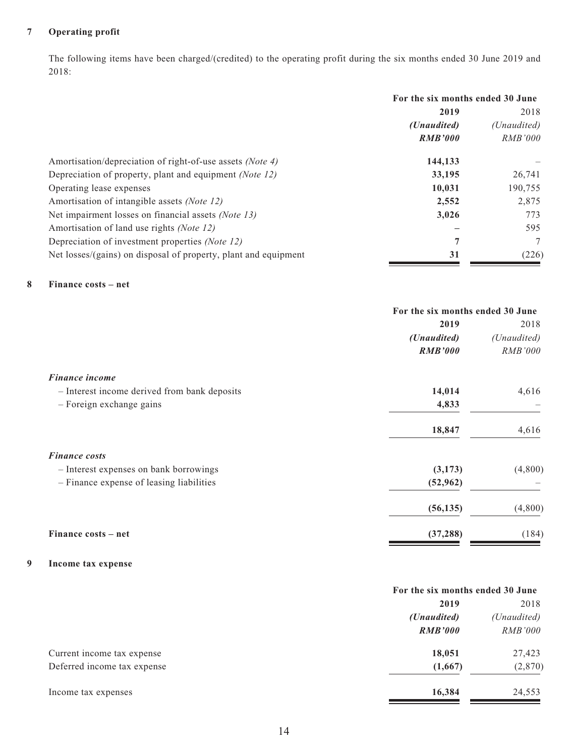### **7 Operating profit**

The following items have been charged/(credited) to the operating profit during the six months ended 30 June 2019 and 2018:

|                                                                 | For the six months ended 30 June |                |
|-----------------------------------------------------------------|----------------------------------|----------------|
|                                                                 | 2019                             |                |
|                                                                 | ( <i>Unaudited</i> )             | (Unaudited)    |
|                                                                 | <b>RMB'000</b>                   | <i>RMB'000</i> |
| Amortisation/depreciation of right-of-use assets (Note 4)       | 144,133                          |                |
| Depreciation of property, plant and equipment (Note 12)         | 33,195                           | 26,741         |
| Operating lease expenses                                        | 10,031                           | 190,755        |
| Amortisation of intangible assets (Note 12)                     | 2,552                            | 2,875          |
| Net impairment losses on financial assets <i>(Note 13)</i>      | 3,026                            | 773            |
| Amortisation of land use rights (Note 12)                       |                                  | 595            |
| Depreciation of investment properties (Note 12)                 | 7                                | 7              |
| Net losses/(gains) on disposal of property, plant and equipment | 31                               | (226)          |

#### **8 Finance costs – net**

|                                              | For the six months ended 30 June |                |
|----------------------------------------------|----------------------------------|----------------|
|                                              | 2019                             |                |
|                                              | (Unaudited)                      | (Unaudited)    |
|                                              | <b>RMB'000</b>                   | <b>RMB'000</b> |
| Finance income                               |                                  |                |
| - Interest income derived from bank deposits | 14,014                           | 4,616          |
| - Foreign exchange gains                     | 4,833                            |                |
|                                              | 18,847                           | 4,616          |
| <b>Finance costs</b>                         |                                  |                |
| - Interest expenses on bank borrowings       | (3,173)                          | (4,800)        |
| - Finance expense of leasing liabilities     | (52, 962)                        |                |
|                                              | (56, 135)                        | (4,800)        |
| Finance costs – net                          | (37, 288)                        | (184)          |

#### **9 Income tax expense**

|                             | For the six months ended 30 June |                |
|-----------------------------|----------------------------------|----------------|
|                             | 2019                             |                |
|                             | ( <i>Unaudited</i> )             | (Unaudited)    |
|                             | <b>RMB'000</b>                   | <i>RMB'000</i> |
| Current income tax expense  | 18,051                           | 27,423         |
| Deferred income tax expense | (1,667)                          | (2,870)        |
| Income tax expenses         | 16,384                           | 24,553         |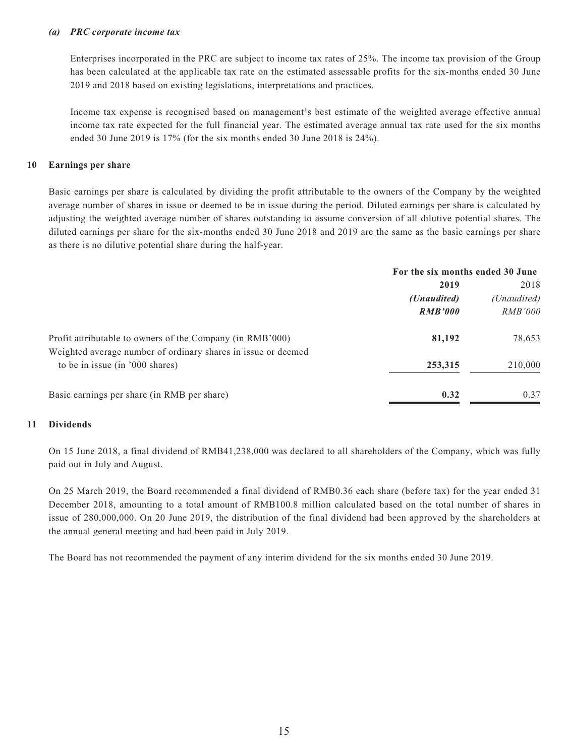#### *(a) PRC corporate income tax*

Enterprises incorporated in the PRC are subject to income tax rates of 25%. The income tax provision of the Group has been calculated at the applicable tax rate on the estimated assessable profits for the six-months ended 30 June 2019 and 2018 based on existing legislations, interpretations and practices.

Income tax expense is recognised based on management's best estimate of the weighted average effective annual income tax rate expected for the full financial year. The estimated average annual tax rate used for the six months ended 30 June 2019 is 17% (for the six months ended 30 June 2018 is 24%).

#### **10 Earnings per share**

Basic earnings per share is calculated by dividing the profit attributable to the owners of the Company by the weighted average number of shares in issue or deemed to be in issue during the period. Diluted earnings per share is calculated by adjusting the weighted average number of shares outstanding to assume conversion of all dilutive potential shares. The diluted earnings per share for the six-months ended 30 June 2018 and 2019 are the same as the basic earnings per share as there is no dilutive potential share during the half-year.

|                                                               | For the six months ended 30 June |                |
|---------------------------------------------------------------|----------------------------------|----------------|
|                                                               | 2019                             | 2018           |
|                                                               | ( <i>Unaudited</i> )             | (Unaudited)    |
|                                                               | <b>RMB'000</b>                   | <i>RMB'000</i> |
| Profit attributable to owners of the Company (in RMB'000)     | 81,192                           | 78,653         |
| Weighted average number of ordinary shares in issue or deemed |                                  |                |
| to be in issue (in '000 shares)                               | 253,315                          | 210,000        |
| Basic earnings per share (in RMB per share)                   | 0.32                             | 0.37           |

#### **11 Dividends**

On 15 June 2018, a final dividend of RMB41,238,000 was declared to all shareholders of the Company, which was fully paid out in July and August.

On 25 March 2019, the Board recommended a final dividend of RMB0.36 each share (before tax) for the year ended 31 December 2018, amounting to a total amount of RMB100.8 million calculated based on the total number of shares in issue of 280,000,000. On 20 June 2019, the distribution of the final dividend had been approved by the shareholders at the annual general meeting and had been paid in July 2019.

The Board has not recommended the payment of any interim dividend for the six months ended 30 June 2019.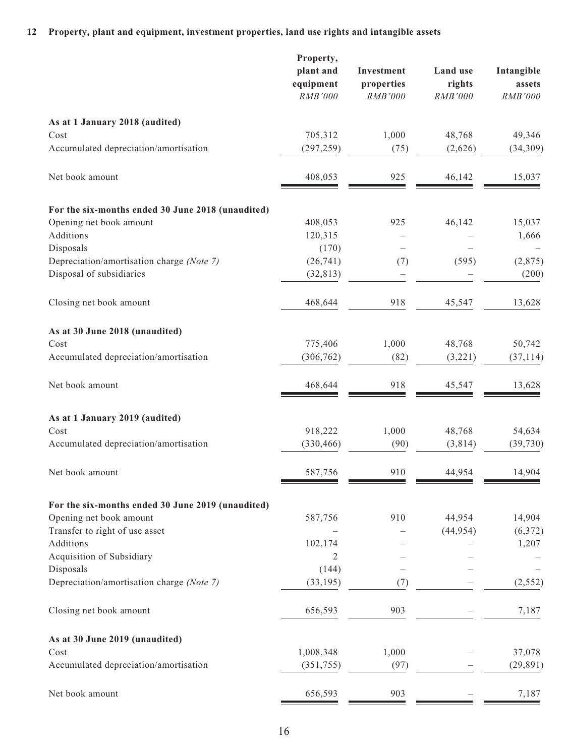### **12 Property, plant and equipment, investment properties, land use rights and intangible assets**

|                                                   | Property,<br>plant and<br>equipment<br>RMB'000 | Investment<br>properties<br><b>RMB'000</b> | Land use<br>rights<br>RMB'000 | Intangible<br>assets<br><b>RMB'000</b> |
|---------------------------------------------------|------------------------------------------------|--------------------------------------------|-------------------------------|----------------------------------------|
| As at 1 January 2018 (audited)                    |                                                |                                            |                               |                                        |
| Cost                                              | 705,312                                        | 1,000                                      | 48,768                        | 49,346                                 |
| Accumulated depreciation/amortisation             | (297, 259)                                     | (75)                                       | (2,626)                       | (34,309)                               |
| Net book amount                                   | 408,053                                        | 925                                        | 46,142                        | 15,037                                 |
| For the six-months ended 30 June 2018 (unaudited) |                                                |                                            |                               |                                        |
| Opening net book amount                           | 408,053                                        | 925                                        | 46,142                        | 15,037                                 |
| Additions                                         | 120,315                                        |                                            |                               | 1,666                                  |
| Disposals                                         | (170)                                          |                                            |                               |                                        |
| Depreciation/amortisation charge (Note 7)         | (26, 741)                                      | (7)                                        | (595)                         | (2,875)                                |
| Disposal of subsidiaries                          | (32, 813)                                      |                                            |                               | (200)                                  |
| Closing net book amount                           | 468,644                                        | 918                                        | 45,547                        | 13,628                                 |
| As at 30 June 2018 (unaudited)                    |                                                |                                            |                               |                                        |
| Cost                                              | 775,406                                        | 1,000                                      | 48,768                        | 50,742                                 |
| Accumulated depreciation/amortisation             | (306, 762)                                     | (82)                                       | (3,221)                       | (37, 114)                              |
| Net book amount                                   | 468,644                                        | 918                                        | 45,547                        | 13,628                                 |
| As at 1 January 2019 (audited)                    |                                                |                                            |                               |                                        |
| Cost                                              | 918,222                                        | 1,000                                      | 48,768                        | 54,634                                 |
| Accumulated depreciation/amortisation             | (330, 466)                                     | (90)                                       | (3, 814)                      | (39, 730)                              |
| Net book amount                                   | 587,756                                        | 910                                        | 44,954                        | 14,904                                 |
| For the six-months ended 30 June 2019 (unaudited) |                                                |                                            |                               |                                        |
| Opening net book amount                           | 587,756                                        | 910                                        | 44,954                        | 14,904                                 |
| Transfer to right of use asset                    |                                                |                                            | (44, 954)                     | (6,372)                                |
| Additions                                         | 102,174                                        |                                            |                               | 1,207                                  |
| Acquisition of Subsidiary                         | 2                                              |                                            |                               |                                        |
| Disposals                                         | (144)                                          |                                            |                               |                                        |
| Depreciation/amortisation charge (Note 7)         | (33, 195)                                      | (7)                                        |                               | (2, 552)                               |
| Closing net book amount                           | 656,593                                        | 903                                        |                               | 7,187                                  |
| As at 30 June 2019 (unaudited)                    |                                                |                                            |                               |                                        |
| Cost                                              | 1,008,348                                      | 1,000                                      |                               | 37,078                                 |
| Accumulated depreciation/amortisation             | (351, 755)                                     | (97)                                       |                               | (29, 891)                              |
| Net book amount                                   | 656,593                                        | 903                                        |                               | 7,187                                  |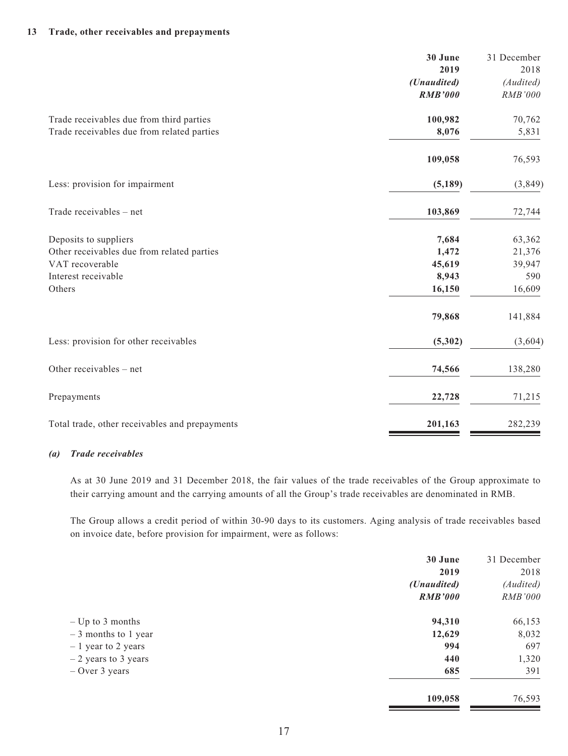#### **13 Trade, other receivables and prepayments**

|                                                | 30 June        | 31 December |
|------------------------------------------------|----------------|-------------|
|                                                | 2019           | 2018        |
|                                                | (Unaudited)    | (Audited)   |
|                                                | <b>RMB'000</b> | RMB'000     |
| Trade receivables due from third parties       | 100,982        | 70,762      |
| Trade receivables due from related parties     | 8,076          | 5,831       |
|                                                | 109,058        | 76,593      |
| Less: provision for impairment                 | (5, 189)       | (3,849)     |
| Trade receivables - net                        | 103,869        | 72,744      |
| Deposits to suppliers                          | 7,684          | 63,362      |
| Other receivables due from related parties     | 1,472          | 21,376      |
| VAT recoverable                                | 45,619         | 39,947      |
| Interest receivable                            | 8,943          | 590         |
| Others                                         | 16,150         | 16,609      |
|                                                | 79,868         | 141,884     |
| Less: provision for other receivables          | (5,302)        | (3,604)     |
| Other receivables - net                        | 74,566         | 138,280     |
| Prepayments                                    | 22,728         | 71,215      |
| Total trade, other receivables and prepayments | 201,163        | 282,239     |

#### *(a) Trade receivables*

As at 30 June 2019 and 31 December 2018, the fair values of the trade receivables of the Group approximate to their carrying amount and the carrying amounts of all the Group's trade receivables are denominated in RMB.

The Group allows a credit period of within 30-90 days to its customers. Aging analysis of trade receivables based on invoice date, before provision for impairment, were as follows:

|                       | 30 June              | 31 December    |
|-----------------------|----------------------|----------------|
|                       | 2019                 | 2018           |
|                       | ( <i>Unaudited</i> ) | (Audited)      |
|                       | <b>RMB'000</b>       | <i>RMB'000</i> |
| $-$ Up to 3 months    | 94,310               | 66,153         |
| $-3$ months to 1 year | 12,629               | 8,032          |
| $-1$ year to 2 years  | 994                  | 697            |
| $-2$ years to 3 years | 440                  | 1,320          |
| $-$ Over 3 years      | 685                  | 391            |
|                       | 109,058              | 76,593         |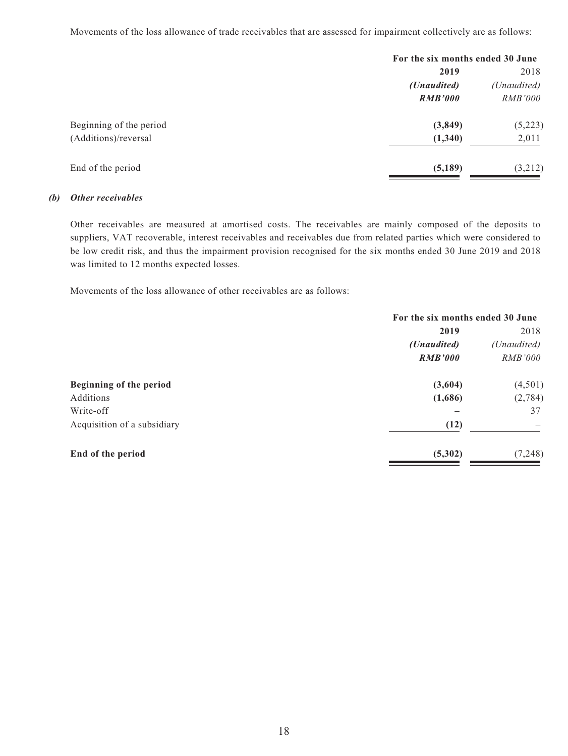Movements of the loss allowance of trade receivables that are assessed for impairment collectively are as follows:

|                         | For the six months ended 30 June |                     |
|-------------------------|----------------------------------|---------------------|
|                         | 2019                             | 2018<br>(Unaudited) |
|                         | (Unaudited)                      |                     |
|                         | <b>RMB'000</b>                   | <i>RMB'000</i>      |
| Beginning of the period | (3,849)                          | (5,223)             |
| (Additions)/reversal    | (1,340)                          | 2,011               |
| End of the period       | (5,189)                          | (3,212)             |

#### *(b) Other receivables*

Other receivables are measured at amortised costs. The receivables are mainly composed of the deposits to suppliers, VAT recoverable, interest receivables and receivables due from related parties which were considered to be low credit risk, and thus the impairment provision recognised for the six months ended 30 June 2019 and 2018 was limited to 12 months expected losses.

Movements of the loss allowance of other receivables are as follows:

|                             | For the six months ended 30 June |                |  |
|-----------------------------|----------------------------------|----------------|--|
|                             | 2019                             |                |  |
|                             | ( <i>Unaudited</i> )             | (Unaudited)    |  |
|                             | <b>RMB'000</b>                   | <i>RMB'000</i> |  |
| Beginning of the period     | (3,604)                          | (4,501)        |  |
| Additions                   | (1,686)                          | (2,784)        |  |
| Write-off                   |                                  | 37             |  |
| Acquisition of a subsidiary | (12)                             |                |  |
| End of the period           | (5,302)                          | (7, 248)       |  |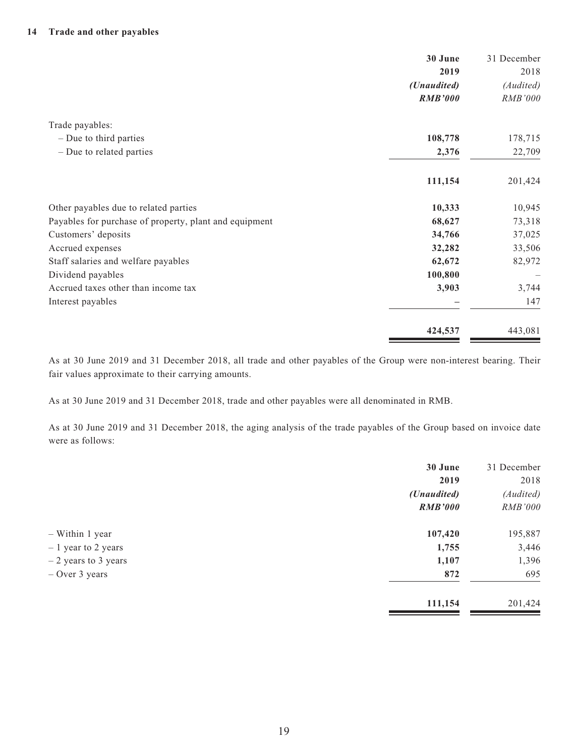|                                                        | 30 June<br>2019 | 31 December<br>2018 |
|--------------------------------------------------------|-----------------|---------------------|
|                                                        | (Unaudited)     | (Audited)           |
|                                                        | <b>RMB'000</b>  | RMB'000             |
| Trade payables:                                        |                 |                     |
| $-$ Due to third parties                               | 108,778         | 178,715             |
| - Due to related parties                               | 2,376           | 22,709              |
|                                                        | 111,154         | 201,424             |
| Other payables due to related parties                  | 10,333          | 10,945              |
| Payables for purchase of property, plant and equipment | 68,627          | 73,318              |
| Customers' deposits                                    | 34,766          | 37,025              |
| Accrued expenses                                       | 32,282          | 33,506              |
| Staff salaries and welfare payables                    | 62,672          | 82,972              |
| Dividend payables                                      | 100,800         |                     |
| Accrued taxes other than income tax                    | 3,903           | 3,744               |
| Interest payables                                      |                 | 147                 |
|                                                        | 424,537         | 443,081             |

As at 30 June 2019 and 31 December 2018, all trade and other payables of the Group were non-interest bearing. Their fair values approximate to their carrying amounts.

As at 30 June 2019 and 31 December 2018, trade and other payables were all denominated in RMB.

As at 30 June 2019 and 31 December 2018, the aging analysis of the trade payables of the Group based on invoice date were as follows:

|                       | 30 June        | 31 December |
|-----------------------|----------------|-------------|
|                       | 2019           | 2018        |
|                       | (Unaudited)    | (Audited)   |
|                       | <b>RMB'000</b> | RMB'000     |
| - Within 1 year       | 107,420        | 195,887     |
| $-1$ year to 2 years  | 1,755          | 3,446       |
| $-2$ years to 3 years | 1,107          | 1,396       |
| $-$ Over 3 years      | 872            | 695         |
|                       | 111,154        | 201,424     |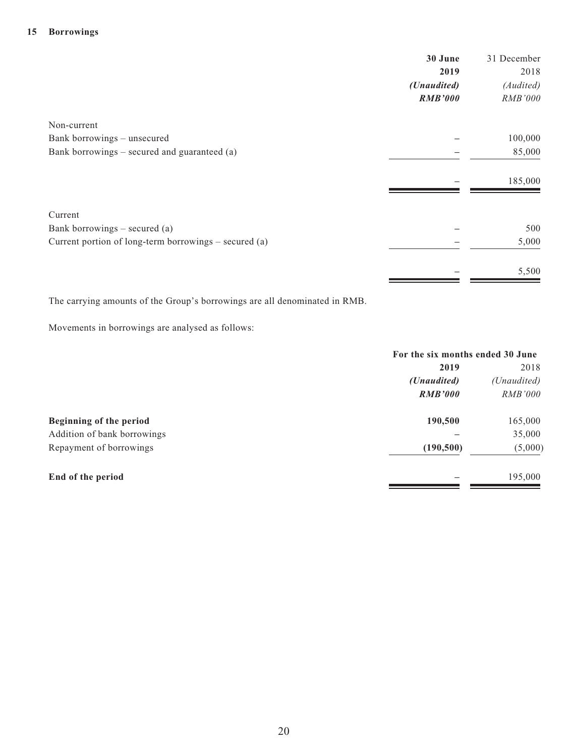|                                                       | 30 June        | 31 December |
|-------------------------------------------------------|----------------|-------------|
|                                                       | 2019           | 2018        |
|                                                       | (Unaudited)    | (Audited)   |
|                                                       | <b>RMB'000</b> | RMB'000     |
| Non-current                                           |                |             |
| Bank borrowings - unsecured                           |                | 100,000     |
| Bank borrowings – secured and guaranteed (a)          |                | 85,000      |
|                                                       |                | 185,000     |
| Current                                               |                |             |
| Bank borrowings $-$ secured (a)                       |                | 500         |
| Current portion of long-term borrowings – secured (a) |                | 5,000       |
|                                                       |                | 5,500       |

The carrying amounts of the Group's borrowings are all denominated in RMB.

Movements in borrowings are analysed as follows:

|                             | For the six months ended 30 June |                |  |
|-----------------------------|----------------------------------|----------------|--|
|                             | 2019                             | 2018           |  |
|                             | ( <i>Unaudited</i> )             | (Unaudited)    |  |
|                             | <b>RMB'000</b>                   | <i>RMB'000</i> |  |
| Beginning of the period     | 190,500                          | 165,000        |  |
| Addition of bank borrowings |                                  | 35,000         |  |
| Repayment of borrowings     | (190, 500)                       | (5,000)        |  |
| End of the period           |                                  | 195,000        |  |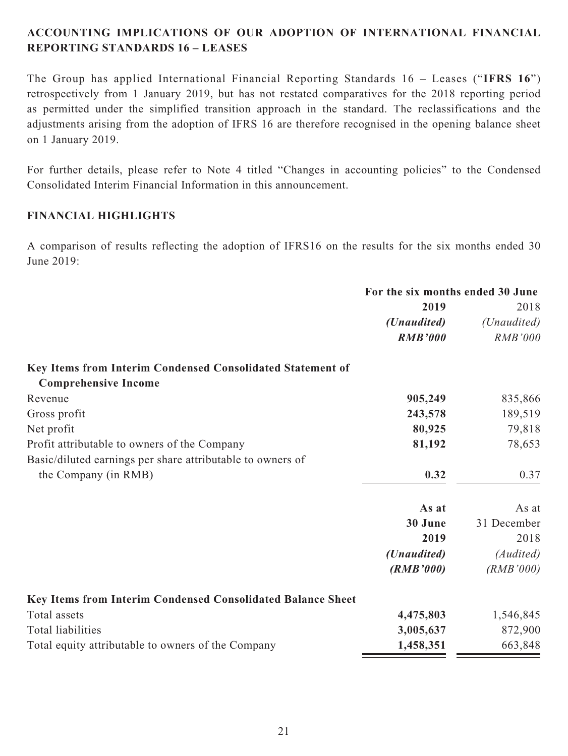# **ACCOUNTING IMPLICATIONS OF OUR ADOPTION OF INTERNATIONAL FINANCIAL REPORTING STANDARDS 16 – LEASES**

The Group has applied International Financial Reporting Standards 16 – Leases ("**IFRS 16**") retrospectively from 1 January 2019, but has not restated comparatives for the 2018 reporting period as permitted under the simplified transition approach in the standard. The reclassifications and the adjustments arising from the adoption of IFRS 16 are therefore recognised in the opening balance sheet on 1 January 2019.

For further details, please refer to Note 4 titled "Changes in accounting policies" to the Condensed Consolidated Interim Financial Information in this announcement.

# **FINANCIAL HIGHLIGHTS**

A comparison of results reflecting the adoption of IFRS16 on the results for the six months ended 30 June 2019:

|                                                             | For the six months ended 30 June |                |  |
|-------------------------------------------------------------|----------------------------------|----------------|--|
|                                                             | 2019                             | 2018           |  |
|                                                             | ( <i>Unaudited</i> )             | (Unaudited)    |  |
|                                                             | <b>RMB'000</b>                   | <b>RMB'000</b> |  |
| Key Items from Interim Condensed Consolidated Statement of  |                                  |                |  |
| <b>Comprehensive Income</b>                                 |                                  |                |  |
| Revenue                                                     | 905,249                          | 835,866        |  |
| Gross profit                                                | 243,578                          | 189,519        |  |
| Net profit                                                  | 80,925                           | 79,818         |  |
| Profit attributable to owners of the Company                | 81,192                           | 78,653         |  |
| Basic/diluted earnings per share attributable to owners of  |                                  |                |  |
| the Company (in RMB)                                        | 0.32                             | 0.37           |  |
|                                                             | As at                            | As at          |  |
|                                                             | 30 June                          | 31 December    |  |
|                                                             | 2019                             | 2018           |  |
|                                                             | (Unaudited)                      | (Audited)      |  |
|                                                             | (RMB'000)                        | (RMB'000)      |  |
| Key Items from Interim Condensed Consolidated Balance Sheet |                                  |                |  |
| Total assets                                                | 4,475,803                        | 1,546,845      |  |
| Total liabilities                                           | 3,005,637                        | 872,900        |  |
| Total equity attributable to owners of the Company          | 1,458,351                        | 663,848        |  |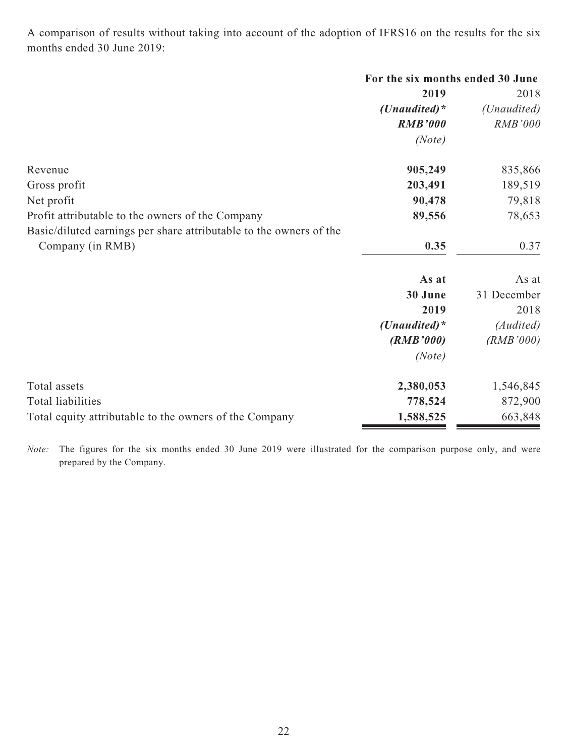A comparison of results without taking into account of the adoption of IFRS16 on the results for the six months ended 30 June 2019:

|                                                                    | For the six months ended 30 June |                |  |
|--------------------------------------------------------------------|----------------------------------|----------------|--|
|                                                                    | 2019                             | 2018           |  |
|                                                                    | (Unaudited) $*$                  | (Unaudited)    |  |
|                                                                    | <b>RMB'000</b>                   | <b>RMB'000</b> |  |
|                                                                    | (Note)                           |                |  |
| Revenue                                                            | 905,249                          | 835,866        |  |
| Gross profit                                                       | 203,491                          | 189,519        |  |
| Net profit                                                         | 90,478                           | 79,818         |  |
| Profit attributable to the owners of the Company                   | 89,556                           | 78,653         |  |
| Basic/diluted earnings per share attributable to the owners of the |                                  |                |  |
| Company (in RMB)                                                   | 0.35                             | 0.37           |  |
|                                                                    | As at                            | As at          |  |
|                                                                    | 30 June                          | 31 December    |  |
|                                                                    | 2019                             | 2018           |  |
|                                                                    | (Unaudited) $*$                  | (Audited)      |  |
|                                                                    | (RMB'000)                        | (RMB'000)      |  |
|                                                                    | (Note)                           |                |  |
| Total assets                                                       | 2,380,053                        | 1,546,845      |  |
| Total liabilities                                                  | 778,524                          | 872,900        |  |
| Total equity attributable to the owners of the Company             | 1,588,525                        | 663,848        |  |

*Note:* The figures for the six months ended 30 June 2019 were illustrated for the comparison purpose only, and were prepared by the Company.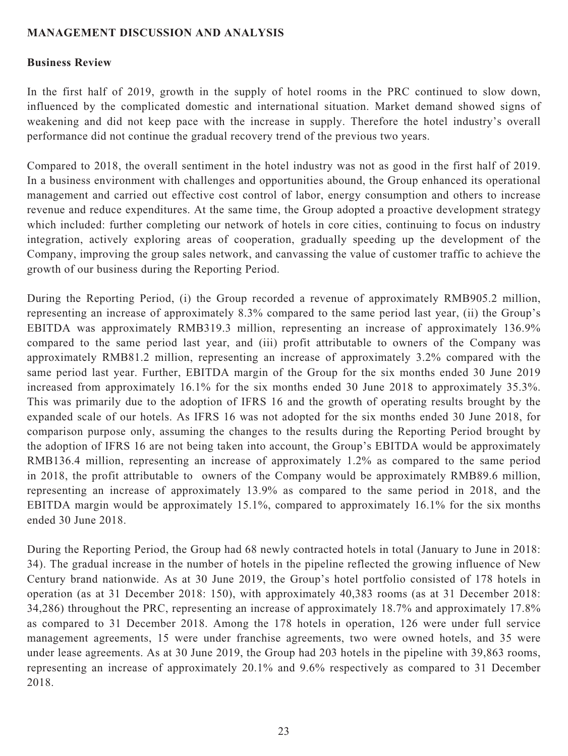### **MANAGEMENT DISCUSSION AND ANALYSIS**

#### **Business Review**

In the first half of 2019, growth in the supply of hotel rooms in the PRC continued to slow down, influenced by the complicated domestic and international situation. Market demand showed signs of weakening and did not keep pace with the increase in supply. Therefore the hotel industry's overall performance did not continue the gradual recovery trend of the previous two years.

Compared to 2018, the overall sentiment in the hotel industry was not as good in the first half of 2019. In a business environment with challenges and opportunities abound, the Group enhanced its operational management and carried out effective cost control of labor, energy consumption and others to increase revenue and reduce expenditures. At the same time, the Group adopted a proactive development strategy which included: further completing our network of hotels in core cities, continuing to focus on industry integration, actively exploring areas of cooperation, gradually speeding up the development of the Company, improving the group sales network, and canvassing the value of customer traffic to achieve the growth of our business during the Reporting Period.

During the Reporting Period, (i) the Group recorded a revenue of approximately RMB905.2 million, representing an increase of approximately 8.3% compared to the same period last year, (ii) the Group's EBITDA was approximately RMB319.3 million, representing an increase of approximately 136.9% compared to the same period last year, and (iii) profit attributable to owners of the Company was approximately RMB81.2 million, representing an increase of approximately 3.2% compared with the same period last year. Further, EBITDA margin of the Group for the six months ended 30 June 2019 increased from approximately 16.1% for the six months ended 30 June 2018 to approximately 35.3%. This was primarily due to the adoption of IFRS 16 and the growth of operating results brought by the expanded scale of our hotels. As IFRS 16 was not adopted for the six months ended 30 June 2018, for comparison purpose only, assuming the changes to the results during the Reporting Period brought by the adoption of IFRS 16 are not being taken into account, the Group's EBITDA would be approximately RMB136.4 million, representing an increase of approximately 1.2% as compared to the same period in 2018, the profit attributable to owners of the Company would be approximately RMB89.6 million, representing an increase of approximately 13.9% as compared to the same period in 2018, and the EBITDA margin would be approximately 15.1%, compared to approximately 16.1% for the six months ended 30 June 2018.

During the Reporting Period, the Group had 68 newly contracted hotels in total (January to June in 2018: 34). The gradual increase in the number of hotels in the pipeline reflected the growing influence of New Century brand nationwide. As at 30 June 2019, the Group's hotel portfolio consisted of 178 hotels in operation (as at 31 December 2018: 150), with approximately 40,383 rooms (as at 31 December 2018: 34,286) throughout the PRC, representing an increase of approximately 18.7% and approximately 17.8% as compared to 31 December 2018. Among the 178 hotels in operation, 126 were under full service management agreements, 15 were under franchise agreements, two were owned hotels, and 35 were under lease agreements. As at 30 June 2019, the Group had 203 hotels in the pipeline with 39,863 rooms, representing an increase of approximately 20.1% and 9.6% respectively as compared to 31 December 2018.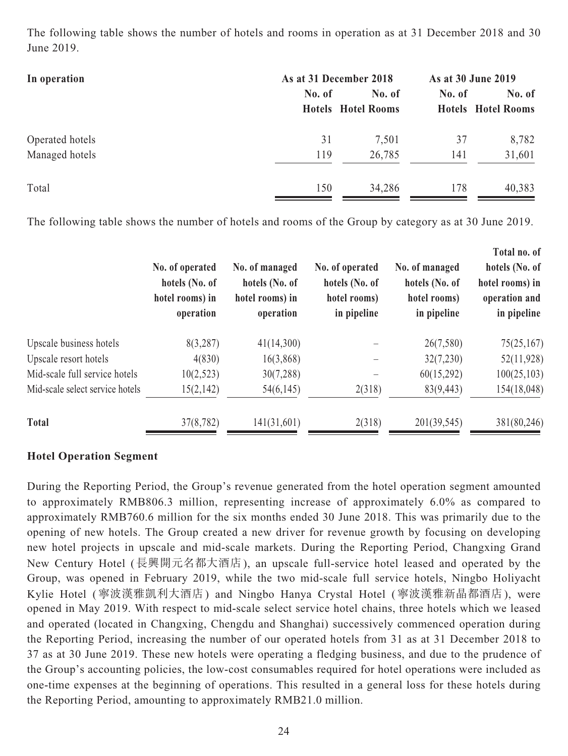The following table shows the number of hotels and rooms in operation as at 31 December 2018 and 30 June 2019.

| In operation    | As at 31 December 2018 | As at 30 June 2019        |        |                           |  |
|-----------------|------------------------|---------------------------|--------|---------------------------|--|
|                 | No. of                 | No. of                    | No. of | No. of                    |  |
|                 |                        | <b>Hotels</b> Hotel Rooms |        | <b>Hotels</b> Hotel Rooms |  |
| Operated hotels | 31                     | 7,501                     | 37     | 8,782                     |  |
| Managed hotels  | 119                    | 26,785                    | 141    | 31,601                    |  |
| Total           | 150                    | 34,286                    | 178    | 40,383                    |  |

The following table shows the number of hotels and rooms of the Group by category as at 30 June 2019.

|                                 | No. of operated<br>hotels (No. of<br>hotel rooms) in<br>operation | No. of managed<br>hotels (No. of<br>hotel rooms) in<br>operation | No. of operated<br>hotels (No. of<br>hotel rooms)<br>in pipeline | No. of managed<br>hotels (No. of<br>hotel rooms)<br>in pipeline | Total no. of<br>hotels (No. of<br>hotel rooms) in<br>operation and<br>in pipeline |
|---------------------------------|-------------------------------------------------------------------|------------------------------------------------------------------|------------------------------------------------------------------|-----------------------------------------------------------------|-----------------------------------------------------------------------------------|
| Upscale business hotels         | 8(3,287)                                                          | 41(14,300)                                                       |                                                                  | 26(7,580)                                                       | 75(25,167)                                                                        |
| Upscale resort hotels           | 4(830)                                                            | 16(3,868)                                                        |                                                                  | 32(7,230)                                                       | 52(11,928)                                                                        |
| Mid-scale full service hotels   | 10(2,523)                                                         | 30(7,288)                                                        |                                                                  | 60(15,292)                                                      | 100(25,103)                                                                       |
| Mid-scale select service hotels | 15(2,142)                                                         | 54(6,145)                                                        | 2(318)                                                           | 83(9,443)                                                       | 154(18,048)                                                                       |
| <b>Total</b>                    | 37(8,782)                                                         | 141(31,601)                                                      | 2(318)                                                           | 201(39,545)                                                     | 381(80,246)                                                                       |

# **Hotel Operation Segment**

During the Reporting Period, the Group's revenue generated from the hotel operation segment amounted to approximately RMB806.3 million, representing increase of approximately 6.0% as compared to approximately RMB760.6 million for the six months ended 30 June 2018. This was primarily due to the opening of new hotels. The Group created a new driver for revenue growth by focusing on developing new hotel projects in upscale and mid-scale markets. During the Reporting Period, Changxing Grand New Century Hotel (長興開元名都大酒店), an upscale full-service hotel leased and operated by the Group, was opened in February 2019, while the two mid-scale full service hotels, Ningbo Holiyacht Kylie Hotel (寧波漢雅凱利大酒店) and Ningbo Hanya Crystal Hotel (寧波漢雅新晶都酒店), were opened in May 2019. With respect to mid-scale select service hotel chains, three hotels which we leased and operated (located in Changxing, Chengdu and Shanghai) successively commenced operation during the Reporting Period, increasing the number of our operated hotels from 31 as at 31 December 2018 to 37 as at 30 June 2019. These new hotels were operating a fledging business, and due to the prudence of the Group's accounting policies, the low-cost consumables required for hotel operations were included as one-time expenses at the beginning of operations. This resulted in a general loss for these hotels during the Reporting Period, amounting to approximately RMB21.0 million.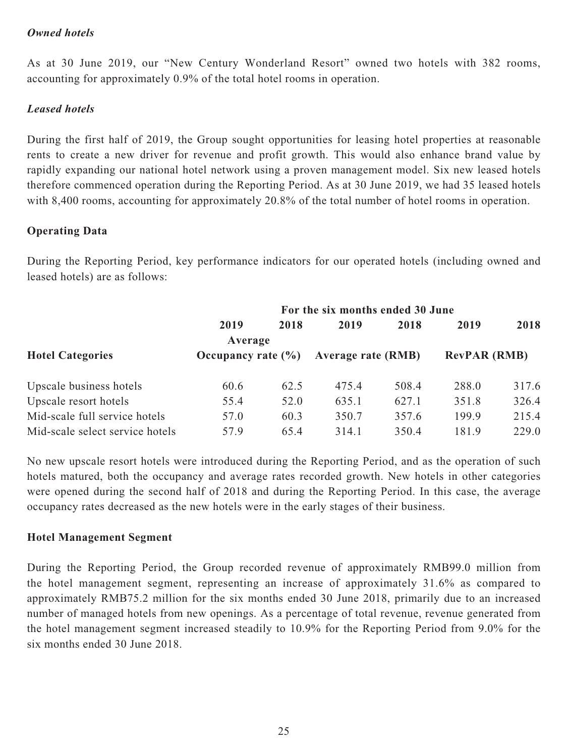# *Owned hotels*

As at 30 June 2019, our "New Century Wonderland Resort" owned two hotels with 382 rooms, accounting for approximately 0.9% of the total hotel rooms in operation.

### *Leased hotels*

During the first half of 2019, the Group sought opportunities for leasing hotel properties at reasonable rents to create a new driver for revenue and profit growth. This would also enhance brand value by rapidly expanding our national hotel network using a proven management model. Six new leased hotels therefore commenced operation during the Reporting Period. As at 30 June 2019, we had 35 leased hotels with 8,400 rooms, accounting for approximately 20.8% of the total number of hotel rooms in operation.

# **Operating Data**

During the Reporting Period, key performance indicators for our operated hotels (including owned and leased hotels) are as follows:

|                                 | For the six months ended 30 June |      |                           |       |                     |       |
|---------------------------------|----------------------------------|------|---------------------------|-------|---------------------|-------|
|                                 | 2019                             | 2018 | 2019                      | 2018  | 2019                | 2018  |
|                                 | Average                          |      |                           |       |                     |       |
| <b>Hotel Categories</b>         | Occupancy rate $(\% )$           |      | <b>Average rate (RMB)</b> |       | <b>RevPAR (RMB)</b> |       |
| Upscale business hotels         | 60.6                             | 62.5 | 475.4                     | 508.4 | 288.0               | 317.6 |
| Upscale resort hotels           | 55.4                             | 52.0 | 635.1                     | 627.1 | 351.8               | 326.4 |
| Mid-scale full service hotels   | 57.0                             | 60.3 | 350.7                     | 357.6 | 199.9               | 215.4 |
| Mid-scale select service hotels | 57.9                             | 65.4 | 314.1                     | 350.4 | 181.9               | 229.0 |

No new upscale resort hotels were introduced during the Reporting Period, and as the operation of such hotels matured, both the occupancy and average rates recorded growth. New hotels in other categories were opened during the second half of 2018 and during the Reporting Period. In this case, the average occupancy rates decreased as the new hotels were in the early stages of their business.

### **Hotel Management Segment**

During the Reporting Period, the Group recorded revenue of approximately RMB99.0 million from the hotel management segment, representing an increase of approximately 31.6% as compared to approximately RMB75.2 million for the six months ended 30 June 2018, primarily due to an increased number of managed hotels from new openings. As a percentage of total revenue, revenue generated from the hotel management segment increased steadily to 10.9% for the Reporting Period from 9.0% for the six months ended 30 June 2018.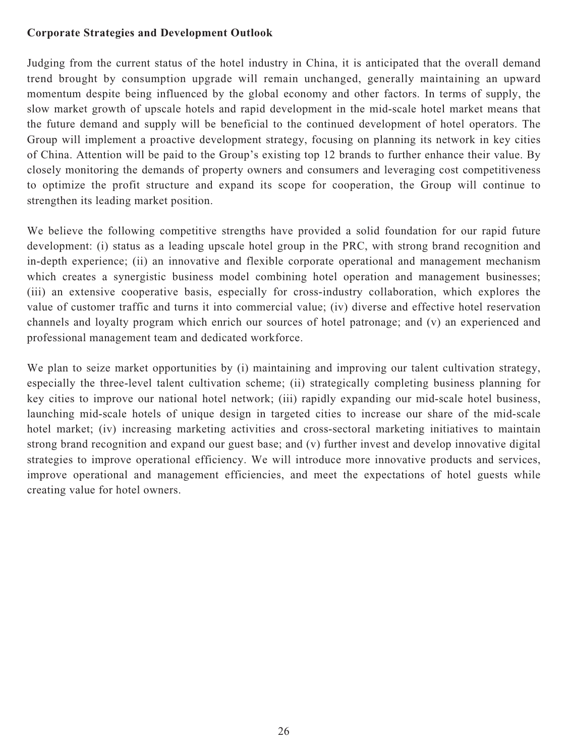# **Corporate Strategies and Development Outlook**

Judging from the current status of the hotel industry in China, it is anticipated that the overall demand trend brought by consumption upgrade will remain unchanged, generally maintaining an upward momentum despite being influenced by the global economy and other factors. In terms of supply, the slow market growth of upscale hotels and rapid development in the mid-scale hotel market means that the future demand and supply will be beneficial to the continued development of hotel operators. The Group will implement a proactive development strategy, focusing on planning its network in key cities of China. Attention will be paid to the Group's existing top 12 brands to further enhance their value. By closely monitoring the demands of property owners and consumers and leveraging cost competitiveness to optimize the profit structure and expand its scope for cooperation, the Group will continue to strengthen its leading market position.

We believe the following competitive strengths have provided a solid foundation for our rapid future development: (i) status as a leading upscale hotel group in the PRC, with strong brand recognition and in-depth experience; (ii) an innovative and flexible corporate operational and management mechanism which creates a synergistic business model combining hotel operation and management businesses; (iii) an extensive cooperative basis, especially for cross-industry collaboration, which explores the value of customer traffic and turns it into commercial value; (iv) diverse and effective hotel reservation channels and loyalty program which enrich our sources of hotel patronage; and (v) an experienced and professional management team and dedicated workforce.

We plan to seize market opportunities by (i) maintaining and improving our talent cultivation strategy, especially the three-level talent cultivation scheme; (ii) strategically completing business planning for key cities to improve our national hotel network; (iii) rapidly expanding our mid-scale hotel business, launching mid-scale hotels of unique design in targeted cities to increase our share of the mid-scale hotel market; (iv) increasing marketing activities and cross-sectoral marketing initiatives to maintain strong brand recognition and expand our guest base; and (v) further invest and develop innovative digital strategies to improve operational efficiency. We will introduce more innovative products and services, improve operational and management efficiencies, and meet the expectations of hotel guests while creating value for hotel owners.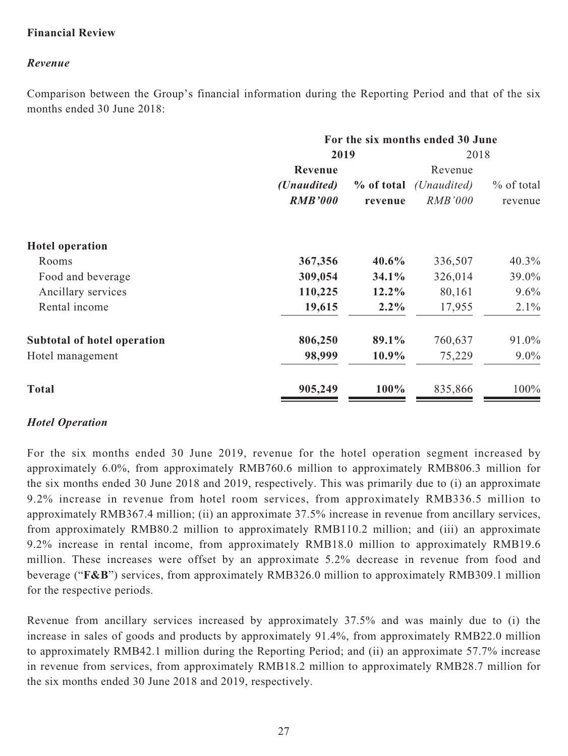# **Financial Review**

# *Revenue*

Comparison between the Group's financial information during the Reporting Period and that of the six months ended 30 June 2018:

|                             | For the six months ended 30 June            |            |                      |              |  |  |  |  |  |  |  |  |  |  |  |  |  |  |  |  |  |  |  |  |  |  |  |  |  |  |  |         |
|-----------------------------|---------------------------------------------|------------|----------------------|--------------|--|--|--|--|--|--|--|--|--|--|--|--|--|--|--|--|--|--|--|--|--|--|--|--|--|--|--|---------|
|                             | 2019                                        | 2018       |                      |              |  |  |  |  |  |  |  |  |  |  |  |  |  |  |  |  |  |  |  |  |  |  |  |  |  |  |  |         |
|                             | Revenue                                     |            | Revenue              |              |  |  |  |  |  |  |  |  |  |  |  |  |  |  |  |  |  |  |  |  |  |  |  |  |  |  |  |         |
|                             | ( <i>Unaudited</i> )                        | % of total | ( <i>Unaudited</i> ) | $%$ of total |  |  |  |  |  |  |  |  |  |  |  |  |  |  |  |  |  |  |  |  |  |  |  |  |  |  |  |         |
|                             | <b>RMB'000</b><br><b>RMB'000</b><br>revenue |            |                      |              |  |  |  |  |  |  |  |  |  |  |  |  |  |  |  |  |  |  |  |  |  |  |  |  |  |  |  | revenue |
| <b>Hotel operation</b>      |                                             |            |                      |              |  |  |  |  |  |  |  |  |  |  |  |  |  |  |  |  |  |  |  |  |  |  |  |  |  |  |  |         |
| Rooms                       | 367,356                                     | 40.6%      | 336,507              | 40.3%        |  |  |  |  |  |  |  |  |  |  |  |  |  |  |  |  |  |  |  |  |  |  |  |  |  |  |  |         |
| Food and beverage           | 309,054                                     | 34.1%      | 326,014              | 39.0%        |  |  |  |  |  |  |  |  |  |  |  |  |  |  |  |  |  |  |  |  |  |  |  |  |  |  |  |         |
| Ancillary services          | 110,225                                     | 12.2%      | 80,161               | $9.6\%$      |  |  |  |  |  |  |  |  |  |  |  |  |  |  |  |  |  |  |  |  |  |  |  |  |  |  |  |         |
| Rental income               | 19,615                                      | $2.2\%$    | 17,955               | $2.1\%$      |  |  |  |  |  |  |  |  |  |  |  |  |  |  |  |  |  |  |  |  |  |  |  |  |  |  |  |         |
| Subtotal of hotel operation | 806,250                                     | 89.1%      | 760,637              | 91.0%        |  |  |  |  |  |  |  |  |  |  |  |  |  |  |  |  |  |  |  |  |  |  |  |  |  |  |  |         |
| Hotel management            | 98,999                                      | 10.9%      | 75,229               | $9.0\%$      |  |  |  |  |  |  |  |  |  |  |  |  |  |  |  |  |  |  |  |  |  |  |  |  |  |  |  |         |
| <b>Total</b>                | 905,249                                     | 100%       | 835,866              | 100%         |  |  |  |  |  |  |  |  |  |  |  |  |  |  |  |  |  |  |  |  |  |  |  |  |  |  |  |         |

# *Hotel Operation*

For the six months ended 30 June 2019, revenue for the hotel operation segment increased by approximately 6.0%, from approximately RMB760.6 million to approximately RMB806.3 million for the six months ended 30 June 2018 and 2019, respectively. This was primarily due to (i) an approximate 9.2% increase in revenue from hotel room services, from approximately RMB336.5 million to approximately RMB367.4 million; (ii) an approximate 37.5% increase in revenue from ancillary services, from approximately RMB80.2 million to approximately RMB110.2 million; and (iii) an approximate 9.2% increase in rental income, from approximately RMB18.0 million to approximately RMB19.6 million. These increases were offset by an approximate 5.2% decrease in revenue from food and beverage ("**F&B**") services, from approximately RMB326.0 million to approximately RMB309.1 million for the respective periods.

Revenue from ancillary services increased by approximately 37.5% and was mainly due to (i) the increase in sales of goods and products by approximately 91.4%, from approximately RMB22.0 million to approximately RMB42.1 million during the Reporting Period; and (ii) an approximate 57.7% increase in revenue from services, from approximately RMB18.2 million to approximately RMB28.7 million for the six months ended 30 June 2018 and 2019, respectively.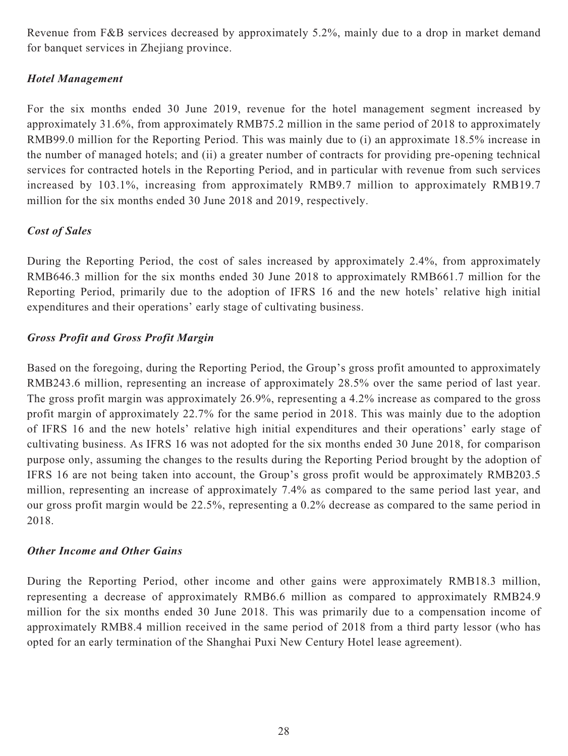Revenue from F&B services decreased by approximately 5.2%, mainly due to a drop in market demand for banquet services in Zhejiang province.

# *Hotel Management*

For the six months ended 30 June 2019, revenue for the hotel management segment increased by approximately 31.6%, from approximately RMB75.2 million in the same period of 2018 to approximately RMB99.0 million for the Reporting Period. This was mainly due to (i) an approximate 18.5% increase in the number of managed hotels; and (ii) a greater number of contracts for providing pre-opening technical services for contracted hotels in the Reporting Period, and in particular with revenue from such services increased by 103.1%, increasing from approximately RMB9.7 million to approximately RMB19.7 million for the six months ended 30 June 2018 and 2019, respectively.

# *Cost of Sales*

During the Reporting Period, the cost of sales increased by approximately 2.4%, from approximately RMB646.3 million for the six months ended 30 June 2018 to approximately RMB661.7 million for the Reporting Period, primarily due to the adoption of IFRS 16 and the new hotels' relative high initial expenditures and their operations' early stage of cultivating business.

# *Gross Profit and Gross Profit Margin*

Based on the foregoing, during the Reporting Period, the Group's gross profit amounted to approximately RMB243.6 million, representing an increase of approximately 28.5% over the same period of last year. The gross profit margin was approximately 26.9%, representing a 4.2% increase as compared to the gross profit margin of approximately 22.7% for the same period in 2018. This was mainly due to the adoption of IFRS 16 and the new hotels' relative high initial expenditures and their operations' early stage of cultivating business. As IFRS 16 was not adopted for the six months ended 30 June 2018, for comparison purpose only, assuming the changes to the results during the Reporting Period brought by the adoption of IFRS 16 are not being taken into account, the Group's gross profit would be approximately RMB203.5 million, representing an increase of approximately 7.4% as compared to the same period last year, and our gross profit margin would be 22.5%, representing a 0.2% decrease as compared to the same period in 2018.

# *Other Income and Other Gains*

During the Reporting Period, other income and other gains were approximately RMB18.3 million, representing a decrease of approximately RMB6.6 million as compared to approximately RMB24.9 million for the six months ended 30 June 2018. This was primarily due to a compensation income of approximately RMB8.4 million received in the same period of 2018 from a third party lessor (who has opted for an early termination of the Shanghai Puxi New Century Hotel lease agreement).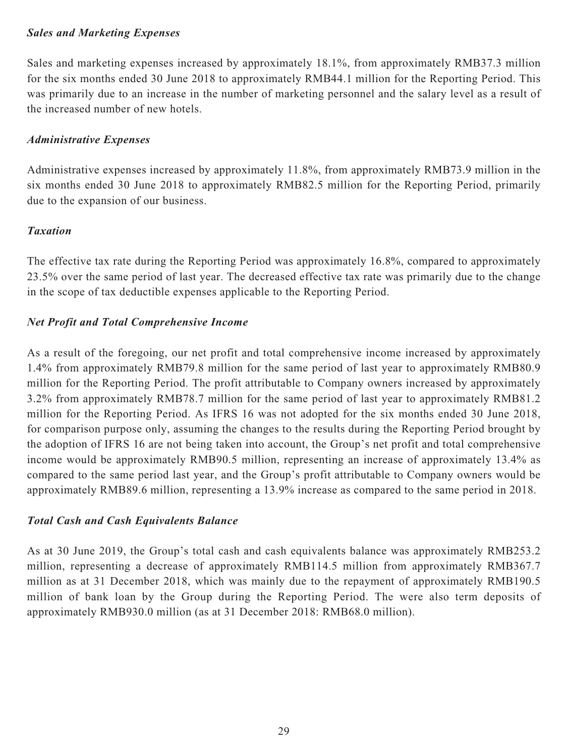# *Sales and Marketing Expenses*

Sales and marketing expenses increased by approximately 18.1%, from approximately RMB37.3 million for the six months ended 30 June 2018 to approximately RMB44.1 million for the Reporting Period. This was primarily due to an increase in the number of marketing personnel and the salary level as a result of the increased number of new hotels.

# *Administrative Expenses*

Administrative expenses increased by approximately 11.8%, from approximately RMB73.9 million in the six months ended 30 June 2018 to approximately RMB82.5 million for the Reporting Period, primarily due to the expansion of our business.

# *Taxation*

The effective tax rate during the Reporting Period was approximately 16.8%, compared to approximately 23.5% over the same period of last year. The decreased effective tax rate was primarily due to the change in the scope of tax deductible expenses applicable to the Reporting Period.

# *Net Profit and Total Comprehensive Income*

As a result of the foregoing, our net profit and total comprehensive income increased by approximately 1.4% from approximately RMB79.8 million for the same period of last year to approximately RMB80.9 million for the Reporting Period. The profit attributable to Company owners increased by approximately 3.2% from approximately RMB78.7 million for the same period of last year to approximately RMB81.2 million for the Reporting Period. As IFRS 16 was not adopted for the six months ended 30 June 2018, for comparison purpose only, assuming the changes to the results during the Reporting Period brought by the adoption of IFRS 16 are not being taken into account, the Group's net profit and total comprehensive income would be approximately RMB90.5 million, representing an increase of approximately 13.4% as compared to the same period last year, and the Group's profit attributable to Company owners would be approximately RMB89.6 million, representing a 13.9% increase as compared to the same period in 2018.

# *Total Cash and Cash Equivalents Balance*

As at 30 June 2019, the Group's total cash and cash equivalents balance was approximately RMB253.2 million, representing a decrease of approximately RMB114.5 million from approximately RMB367.7 million as at 31 December 2018, which was mainly due to the repayment of approximately RMB190.5 million of bank loan by the Group during the Reporting Period. The were also term deposits of approximately RMB930.0 million (as at 31 December 2018: RMB68.0 million).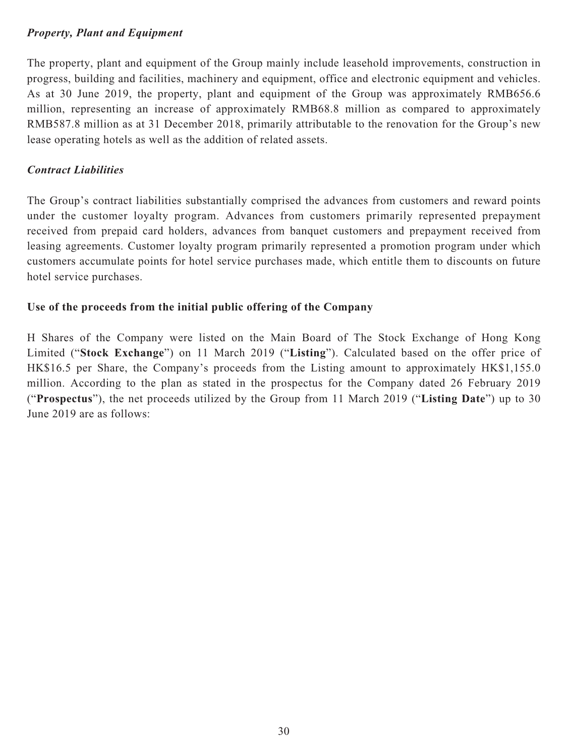# *Property, Plant and Equipment*

The property, plant and equipment of the Group mainly include leasehold improvements, construction in progress, building and facilities, machinery and equipment, office and electronic equipment and vehicles. As at 30 June 2019, the property, plant and equipment of the Group was approximately RMB656.6 million, representing an increase of approximately RMB68.8 million as compared to approximately RMB587.8 million as at 31 December 2018, primarily attributable to the renovation for the Group's new lease operating hotels as well as the addition of related assets.

# *Contract Liabilities*

The Group's contract liabilities substantially comprised the advances from customers and reward points under the customer loyalty program. Advances from customers primarily represented prepayment received from prepaid card holders, advances from banquet customers and prepayment received from leasing agreements. Customer loyalty program primarily represented a promotion program under which customers accumulate points for hotel service purchases made, which entitle them to discounts on future hotel service purchases.

# **Use of the proceeds from the initial public offering of the Company**

H Shares of the Company were listed on the Main Board of The Stock Exchange of Hong Kong Limited ("**Stock Exchange**") on 11 March 2019 ("**Listing**"). Calculated based on the offer price of HK\$16.5 per Share, the Company's proceeds from the Listing amount to approximately HK\$1,155.0 million. According to the plan as stated in the prospectus for the Company dated 26 February 2019 ("**Prospectus**"), the net proceeds utilized by the Group from 11 March 2019 ("**Listing Date**") up to 30 June 2019 are as follows: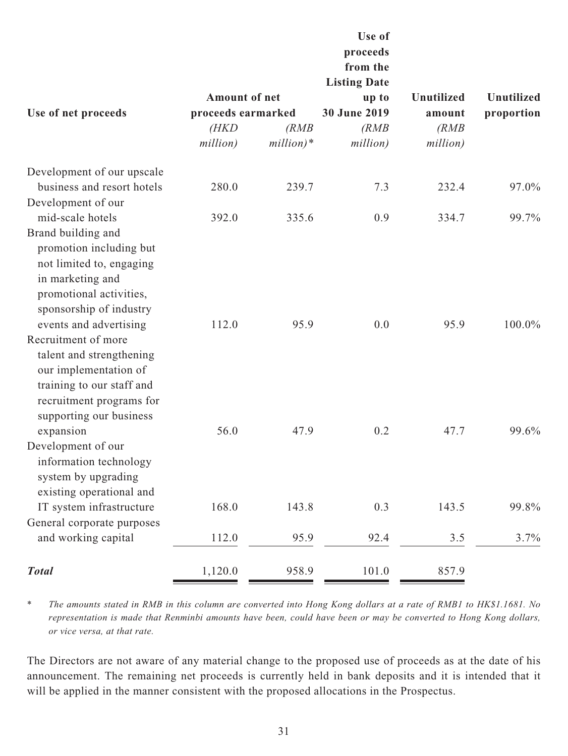|                                                                                                                                                                               |                                                                 |                      | Use of<br>proceeds<br>from the<br><b>Listing Date</b> |                                                  |                                 |
|-------------------------------------------------------------------------------------------------------------------------------------------------------------------------------|-----------------------------------------------------------------|----------------------|-------------------------------------------------------|--------------------------------------------------|---------------------------------|
| Use of net proceeds                                                                                                                                                           | <b>Amount of net</b><br>proceeds earmarked<br>(HKD)<br>million) | (RMB)<br>$million)*$ | up to<br>30 June 2019<br>(RMB)<br>million)            | <b>Unutilized</b><br>amount<br>(RMB)<br>million) | <b>Unutilized</b><br>proportion |
| Development of our upscale                                                                                                                                                    |                                                                 |                      |                                                       |                                                  |                                 |
| business and resort hotels                                                                                                                                                    | 280.0                                                           | 239.7                | 7.3                                                   | 232.4                                            | 97.0%                           |
| Development of our                                                                                                                                                            |                                                                 |                      |                                                       |                                                  |                                 |
| mid-scale hotels                                                                                                                                                              | 392.0                                                           | 335.6                | 0.9                                                   | 334.7                                            | 99.7%                           |
| Brand building and<br>promotion including but<br>not limited to, engaging<br>in marketing and<br>promotional activities,<br>sponsorship of industry<br>events and advertising | 112.0                                                           | 95.9                 | 0.0                                                   | 95.9                                             | 100.0%                          |
| Recruitment of more<br>talent and strengthening<br>our implementation of<br>training to our staff and<br>recruitment programs for<br>supporting our business                  |                                                                 |                      |                                                       |                                                  |                                 |
| expansion<br>Development of our<br>information technology<br>system by upgrading<br>existing operational and                                                                  | 56.0                                                            | 47.9                 | 0.2                                                   | 47.7                                             | 99.6%                           |
| IT system infrastructure                                                                                                                                                      | 168.0                                                           | 143.8                | 0.3                                                   | 143.5                                            | 99.8%                           |
| General corporate purposes<br>and working capital                                                                                                                             | 112.0                                                           | 95.9                 | 92.4                                                  | 3.5                                              | 3.7%                            |
| <b>Total</b>                                                                                                                                                                  | 1,120.0                                                         | 958.9                | 101.0                                                 | 857.9                                            |                                 |

\* *The amounts stated in RMB in this column are converted into Hong Kong dollars at a rate of RMB1 to HK\$1.1681. No representation is made that Renminbi amounts have been, could have been or may be converted to Hong Kong dollars, or vice versa, at that rate.*

The Directors are not aware of any material change to the proposed use of proceeds as at the date of his announcement. The remaining net proceeds is currently held in bank deposits and it is intended that it will be applied in the manner consistent with the proposed allocations in the Prospectus.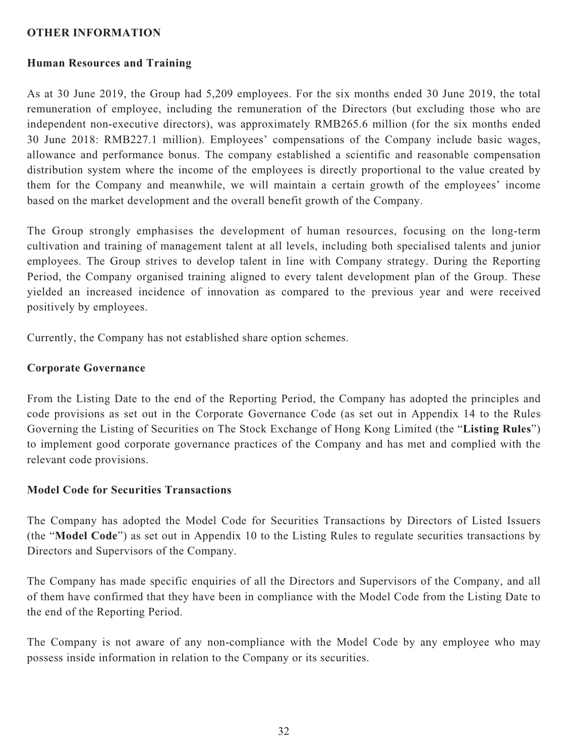### **OTHER INFORMATION**

### **Human Resources and Training**

As at 30 June 2019, the Group had 5,209 employees. For the six months ended 30 June 2019, the total remuneration of employee, including the remuneration of the Directors (but excluding those who are independent non-executive directors), was approximately RMB265.6 million (for the six months ended 30 June 2018: RMB227.1 million). Employees' compensations of the Company include basic wages, allowance and performance bonus. The company established a scientific and reasonable compensation distribution system where the income of the employees is directly proportional to the value created by them for the Company and meanwhile, we will maintain a certain growth of the employees' income based on the market development and the overall benefit growth of the Company.

The Group strongly emphasises the development of human resources, focusing on the long-term cultivation and training of management talent at all levels, including both specialised talents and junior employees. The Group strives to develop talent in line with Company strategy. During the Reporting Period, the Company organised training aligned to every talent development plan of the Group. These yielded an increased incidence of innovation as compared to the previous year and were received positively by employees.

Currently, the Company has not established share option schemes.

#### **Corporate Governance**

From the Listing Date to the end of the Reporting Period, the Company has adopted the principles and code provisions as set out in the Corporate Governance Code (as set out in Appendix 14 to the Rules Governing the Listing of Securities on The Stock Exchange of Hong Kong Limited (the "**Listing Rules**") to implement good corporate governance practices of the Company and has met and complied with the relevant code provisions.

### **Model Code for Securities Transactions**

The Company has adopted the Model Code for Securities Transactions by Directors of Listed Issuers (the "**Model Code**") as set out in Appendix 10 to the Listing Rules to regulate securities transactions by Directors and Supervisors of the Company.

The Company has made specific enquiries of all the Directors and Supervisors of the Company, and all of them have confirmed that they have been in compliance with the Model Code from the Listing Date to the end of the Reporting Period.

The Company is not aware of any non-compliance with the Model Code by any employee who may possess inside information in relation to the Company or its securities.